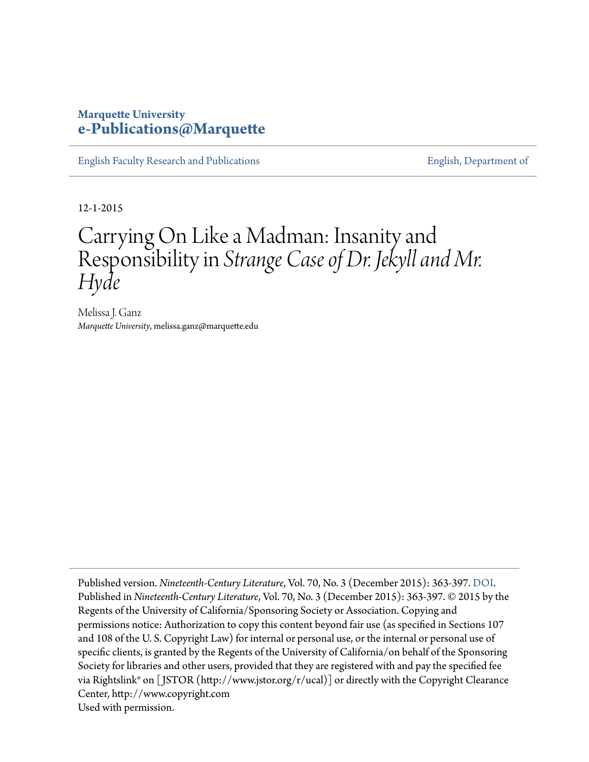## **Marquette University [e-Publications@Marquette](https://epublications.marquette.edu)**

[English Faculty Research and Publications](https://epublications.marquette.edu/english_fac) **[English, Department of](https://epublications.marquette.edu/english)** English, Department of

12-1-2015

# Carrying On Like a Madman: Insanity and Responsibility in *Strange Case of Dr. Jekyll and Mr. Hyde*

Melissa J. Ganz *Marquette University*, melissa.ganz@marquette.edu

Published version. *Nineteenth-Century Literature*, Vol. 70, No. 3 (December 2015): 363-397. [DOI](http://dx.doi.org/10.1525/ncl.2015.70.3.363). Published in *Nineteenth-Century Literature*, Vol. 70, No. 3 (December 2015): 363-397. © 2015 by the Regents of the University of California/Sponsoring Society or Association. Copying and permissions notice: Authorization to copy this content beyond fair use (as specified in Sections 107 and 108 of the U. S. Copyright Law) for internal or personal use, or the internal or personal use of specific clients, is granted by the Regents of the University of California/on behalf of the Sponsoring Society for libraries and other users, provided that they are registered with and pay the specified fee via Rightslink® on [JSTOR (http://www.jstor.org/r/ucal)] or directly with the Copyright Clearance Center, http://www.copyright.com Used with permission.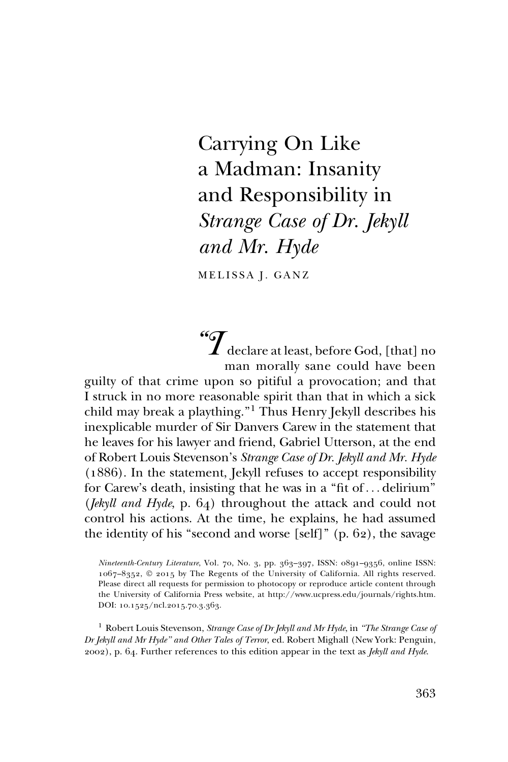Carrying On Like a Madman: Insanity and Responsibility in Strange Case of Dr. Jekyll and Mr. Hyde

MELISSA J. GANZ

**"I** declare at least, before God, [that] no man morally sane could have been guilty of that crime upon so pitiful a provocation; and that I struck in no more reasonable spirit than that in which a sick child may break a plaything.''1 Thus Henry Jekyll describes his inexplicable murder of Sir Danvers Carew in the statement that he leaves for his lawyer and friend, Gabriel Utterson, at the end of Robert Louis Stevenson's Strange Case of Dr. Jekyll and Mr. Hyde (1886). In the statement, Jekyll refuses to accept responsibility for Carew's death, insisting that he was in a ''fit of... delirium'' (Jekyll and Hyde, p. 64) throughout the attack and could not control his actions. At the time, he explains, he had assumed the identity of his ''second and worse [self]'' (p. 62), the savage

Nineteenth-Century Literature, Vol. 70, No. 3, pp. 363–397, ISSN: 0891–9356, online ISSN: 1067–8352, © 2015 by The Regents of the University of California. All rights reserved. Please direct all requests for permission to photocopy or reproduce article content through the University of California Press website, at [http://www.ucpress.edu/journals/rights.htm.](http://www.ucpress.edu/journals/rights.htm) DOI: 10.1525/ncl.2015.70.3.363.

<sup>1</sup> Robert Louis Stevenson, Strange Case of Dr Jekyll and Mr Hyde, in "The Strange Case of Dr Jekyll and Mr Hyde'' and Other Tales of Terror, ed. Robert Mighall (New York: Penguin, 2002), p.  $64$ . Further references to this edition appear in the text as *Jekyll and Hyde*.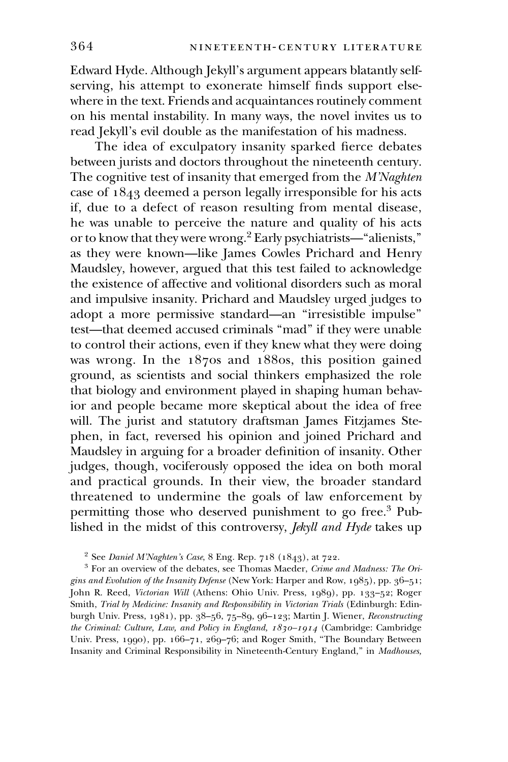Edward Hyde. Although Jekyll's argument appears blatantly selfserving, his attempt to exonerate himself finds support elsewhere in the text. Friends and acquaintances routinely comment on his mental instability. In many ways, the novel invites us to read Jekyll's evil double as the manifestation of his madness.

The idea of exculpatory insanity sparked fierce debates between jurists and doctors throughout the nineteenth century. The cognitive test of insanity that emerged from the M'Naghten case of 1843 deemed a person legally irresponsible for his acts if, due to a defect of reason resulting from mental disease, he was unable to perceive the nature and quality of his acts or to know that they were wrong.2 Early psychiatrists—''alienists,'' as they were known—like James Cowles Prichard and Henry Maudsley, however, argued that this test failed to acknowledge the existence of affective and volitional disorders such as moral and impulsive insanity. Prichard and Maudsley urged judges to adopt a more permissive standard—an ''irresistible impulse'' test—that deemed accused criminals "mad" if they were unable to control their actions, even if they knew what they were doing was wrong. In the 1870s and 1880s, this position gained ground, as scientists and social thinkers emphasized the role that biology and environment played in shaping human behavior and people became more skeptical about the idea of free will. The jurist and statutory draftsman James Fitzjames Stephen, in fact, reversed his opinion and joined Prichard and Maudsley in arguing for a broader definition of insanity. Other judges, though, vociferously opposed the idea on both moral and practical grounds. In their view, the broader standard threatened to undermine the goals of law enforcement by permitting those who deserved punishment to go free.3 Published in the midst of this controversy, Jekyll and Hyde takes up

<sup>2</sup> See Daniel M'Naghten's Case, 8 Eng. Rep.  $718$  (1843), at  $722$ .

 $3$  For an overview of the debates, see Thomas Maeder, Crime and Madness: The Origins and Evolution of the Insanity Defense (New York: Harper and Row,  $1985$ ), pp.  $36–51$ ; John R. Reed, Victorian Will (Athens: Ohio Univ. Press, 1989), pp. 133–52; Roger Smith, Trial by Medicine: Insanity and Responsibility in Victorian Trials (Edinburgh: Edinburgh Univ. Press, 1981), pp. 38–56, 75–89, 96–123; Martin J. Wiener, Reconstructing the Criminal: Culture, Law, and Policy in England, 1830–1914 (Cambridge: Cambridge Univ. Press, 1990), pp. 166-71, 269-76; and Roger Smith, "The Boundary Between Insanity and Criminal Responsibility in Nineteenth-Century England,'' in Madhouses,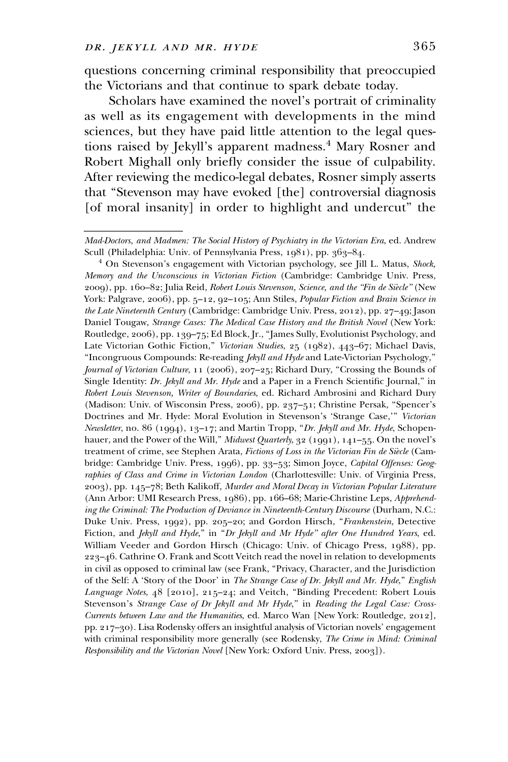questions concerning criminal responsibility that preoccupied the Victorians and that continue to spark debate today.

Scholars have examined the novel's portrait of criminality as well as its engagement with developments in the mind sciences, but they have paid little attention to the legal questions raised by Jekyll's apparent madness.<sup>4</sup> Mary Rosner and Robert Mighall only briefly consider the issue of culpability. After reviewing the medico-legal debates, Rosner simply asserts that ''Stevenson may have evoked [the] controversial diagnosis *DR. JEKYLL AND M*<br>questions concerning<br>the Victorians and the Scholars have ex<br>as well as its engage<br>sciences, but they have<br>tions raised by Jekyl.<br>Robert Mighall only<br>After reviewing the metal (Stevenson may<br>[of moral in [of moral insanity] in order to highlight and undercut'' the

<sup>4</sup> On Stevenson's engagement with Victorian psychology, see Jill L. Matus, Shock, Memory and the Unconscious in Victorian Fiction (Cambridge: Cambridge Univ. Press, 2009), pp. 160–82; Julia Reid, Robert Louis Stevenson, Science, and the "Fin de Siècle" (New York: Palgrave, 2006), pp. 5–12, 92–105; Ann Stiles, Popular Fiction and Brain Science in the Late Nineteenth Century (Cambridge: Cambridge Univ. Press, 2012), pp. 27–49; Jason Daniel Tougaw, Strange Cases: The Medical Case History and the British Novel (New York: Routledge, 2006), pp. 139–75; Ed Block, Jr., ''James Sully, Evolutionist Psychology, and Late Victorian Gothic Fiction,'' Victorian Studies, 25 (1982), 443–67; Michael Davis, ''Incongruous Compounds: Re-reading Jekyll and Hyde and Late-Victorian Psychology,'' Journal of Victorian Culture, 11 (2006), 207-25; Richard Dury, "Crossing the Bounds of Single Identity: Dr. Jekyll and Mr. Hyde and a Paper in a French Scientific Journal,'' in Robert Louis Stevenson, Writer of Boundaries, ed. Richard Ambrosini and Richard Dury (Madison: Univ. of Wisconsin Press, 2006), pp. 237–51; Christine Persak, ''Spencer's Doctrines and Mr. Hyde: Moral Evolution in Stevenson's 'Strange Case,''' Victorian Newsletter, no. 86 (1994), 13-17; and Martin Tropp, "Dr. Jekyll and Mr. Hyde, Schopenhauer, and the Power of the Will," Midwest Quarterly, 32 (1991), 141-55. On the novel's treatment of crime, see Stephen Arata, Fictions of Loss in the Victorian Fin de Siècle (Cambridge: Cambridge Univ. Press, 1996), pp. 33–53; Simon Joyce, Capital Offenses: Geographies of Class and Crime in Victorian London (Charlottesville: Univ. of Virginia Press, 2003), pp. 145–78; Beth Kalikoff, Murder and Moral Decay in Victorian Popular Literature (Ann Arbor: UMI Research Press, 1986), pp. 166–68; Marie-Christine Leps, Apprehending the Criminal: The Production of Deviance in Nineteenth-Century Discourse (Durham, N.C.: Duke Univ. Press, 1992), pp. 205-20; and Gordon Hirsch, "Frankenstein, Detective Fiction, and Jekyll and Hyde," in "Dr Jekyll and Mr Hyde" after One Hundred Years, ed. William Veeder and Gordon Hirsch (Chicago: Univ. of Chicago Press, 1988), pp. 223–46. Cathrine O. Frank and Scott Veitch read the novel in relation to developments in civil as opposed to criminal law (see Frank, ''Privacy, Character, and the Jurisdiction of the Self: A 'Story of the Door' in The Strange Case of Dr. Jekyll and Mr. Hyde,'' English Language Notes, 48 [2010], 215-24; and Veitch, "Binding Precedent: Robert Louis Stevenson's Strange Case of Dr Jekyll and Mr Hyde," in Reading the Legal Case: Cross-Currents between Law and the Humanities, ed. Marco Wan [New York: Routledge, 2012], pp. 217–30). Lisa Rodensky offers an insightful analysis of Victorian novels' engagement with criminal responsibility more generally (see Rodensky, The Crime in Mind: Criminal Responsibility and the Victorian Novel [New York: Oxford Univ. Press, 2003]).

Mad-Doctors, and Madmen: The Social History of Psychiatry in the Victorian Era, ed. Andrew Scull (Philadelphia: Univ. of Pennsylvania Press, 1981), pp. 363–84.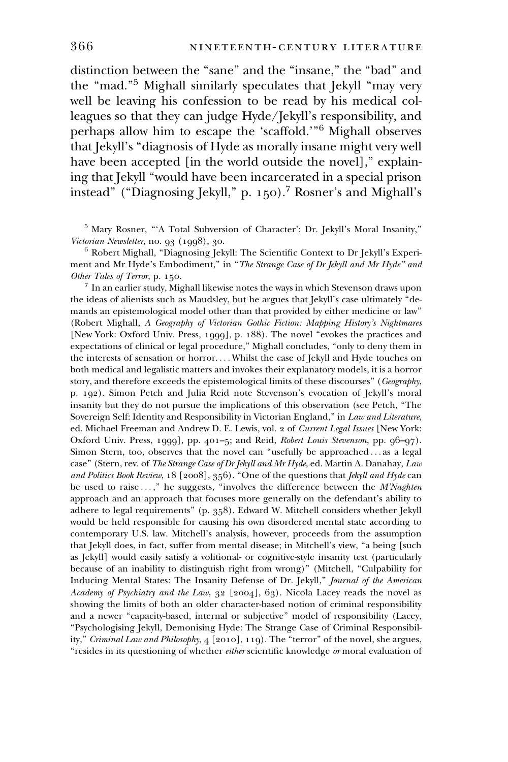distinction between the "sane" and the "insane," the "bad" and the "mad."<sup>5</sup> Mighall similarly speculates that Jekyll "may very well be leaving his confession to be read by his medical colleagues so that they can judge Hyde/Jekyll's responsibility, and perhaps allow him to escape the 'scaffold.'''6 Mighall observes that Jekyll's ''diagnosis of Hyde as morally insane might very well have been accepted [in the world outside the novel]," explaining that Jekyll ''would have been incarcerated in a special prison instead" ("Diagnosing Jekyll," p. 150).<sup>7</sup> Rosner's and Mighall's

<sup>5</sup> Mary Rosner, "'A Total Subversion of Character': Dr. Jekyll's Moral Insanity," Victorian Newsletter, no. 93 (1998), 30.

<sup>6</sup> Robert Mighall, ''Diagnosing Jekyll: The Scientific Context to Dr Jekyll's Experiment and Mr Hyde's Embodiment," in "The Strange Case of Dr Jekyll and Mr Hyde" and Other Tales of Terror, p. 150.

<sup>7</sup> In an earlier study, Mighall likewise notes the ways in which Stevenson draws upon the ideas of alienists such as Maudsley, but he argues that Jekyll's case ultimately ''demands an epistemological model other than that provided by either medicine or law'' (Robert Mighall, A Geography of Victorian Gothic Fiction: Mapping History's Nightmares [New York: Oxford Univ. Press, 1999], p. 188). The novel ''evokes the practices and expectations of clinical or legal procedure,'' Mighall concludes, ''only to deny them in the interests of sensation or horror. ... Whilst the case of Jekyll and Hyde touches on both medical and legalistic matters and invokes their explanatory models, it is a horror story, and therefore exceeds the epistemological limits of these discourses" (Geography, p. 192). Simon Petch and Julia Reid note Stevenson's evocation of Jekyll's moral insanity but they do not pursue the implications of this observation (see Petch, ''The Sovereign Self: Identity and Responsibility in Victorian England," in Law and Literature, ed. Michael Freeman and Andrew D. E. Lewis, vol. 2 of Current Legal Issues [New York: Oxford Univ. Press, 1999], pp. 401–5; and Reid, Robert Louis Stevenson, pp. 96–97). Simon Stern, too, observes that the novel can ''usefully be approached ... as a legal case'' (Stern, rev. of The Strange Case of Dr Jekyll and Mr Hyde, ed. Martin A. Danahay, Law and Politics Book Review, 18 [2008], 356). "One of the questions that Jekyll and Hyde can be used to raise ...," he suggests, "involves the difference between the M'Naghten approach and an approach that focuses more generally on the defendant's ability to adhere to legal requirements'' (p. 358). Edward W. Mitchell considers whether Jekyll would be held responsible for causing his own disordered mental state according to contemporary U.S. law. Mitchell's analysis, however, proceeds from the assumption that Jekyll does, in fact, suffer from mental disease; in Mitchell's view, "a being [such as Jekyll] would easily satisfy a volitional- or cognitive-style insanity test (particularly because of an inability to distinguish right from wrong)'' (Mitchell, ''Culpability for Inducing Mental States: The Insanity Defense of Dr. Jekyll,'' Journal of the American Academy of Psychiatry and the Law, 32 [2004], 63). Nicola Lacey reads the novel as showing the limits of both an older character-based notion of criminal responsibility and a newer "capacity-based, internal or subjective" model of responsibility (Lacey, ''Psychologising Jekyll, Demonising Hyde: The Strange Case of Criminal Responsibility," Criminal Law and Philosophy, 4 [2010], 119). The "terror" of the novel, she argues, ''resides in its questioning of whether either scientific knowledge or moral evaluation of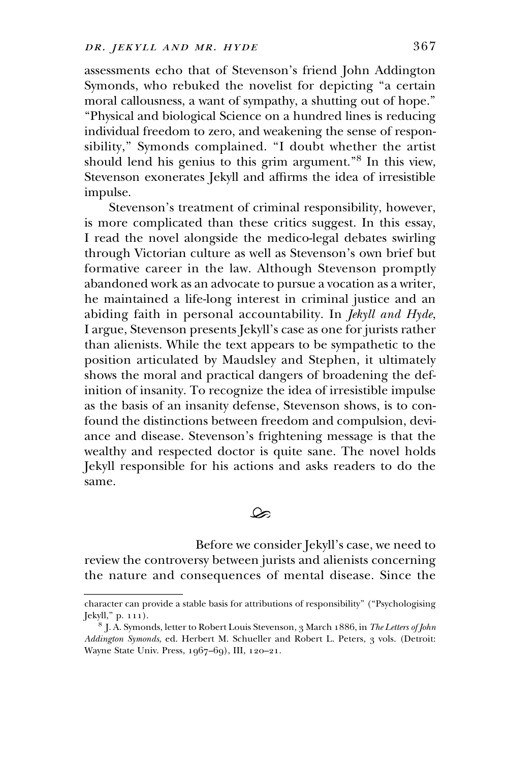assessments echo that of Stevenson's friend John Addington Symonds, who rebuked the novelist for depicting ''a certain moral callousness, a want of sympathy, a shutting out of hope.'' ''Physical and biological Science on a hundred lines is reducing individual freedom to zero, and weakening the sense of responsibility,'' Symonds complained. ''I doubt whether the artist should lend his genius to this grim argument."<sup>8</sup> In this view, Stevenson exonerates Jekyll and affirms the idea of irresistible impulse.

Stevenson's treatment of criminal responsibility, however, is more complicated than these critics suggest. In this essay, I read the novel alongside the medico-legal debates swirling through Victorian culture as well as Stevenson's own brief but formative career in the law. Although Stevenson promptly abandoned work as an advocate to pursue a vocation as a writer, he maintained a life-long interest in criminal justice and an abiding faith in personal accountability. In Jekyll and Hyde, I argue, Stevenson presents Jekyll's case as one for jurists rather than alienists. While the text appears to be sympathetic to the position articulated by Maudsley and Stephen, it ultimately shows the moral and practical dangers of broadening the definition of insanity. To recognize the idea of irresistible impulse as the basis of an insanity defense, Stevenson shows, is to confound the distinctions between freedom and compulsion, deviance and disease. Stevenson's frightening message is that the wealthy and respected doctor is quite sane. The novel holds Jekyll responsible for his actions and asks readers to do the same. abandoned work as a<br>he maintained a life<br>abiding faith in per<br>I argue, Stevenson pr<br>than alienists. While<br>position articulated<br>shows the moral and<br>inition of insanity. To<br>as the basis of an ins<br>found the distinction<br>ance a

#### ھک

Before we consider Jekyll's case, we need to review the controversy between jurists and alienists concerning the nature and consequences of mental disease. Since the

character can provide a stable basis for attributions of responsibility'' (''Psychologising Jekyll,'' p. 111).

<sup>&</sup>lt;sup>8</sup> J. A. Symonds, letter to Robert Louis Stevenson, 3 March 1886, in The Letters of John Addington Symonds, ed. Herbert M. Schueller and Robert L. Peters, 3 vols. (Detroit: Wayne State Univ. Press, 1967–69), III, 120–21.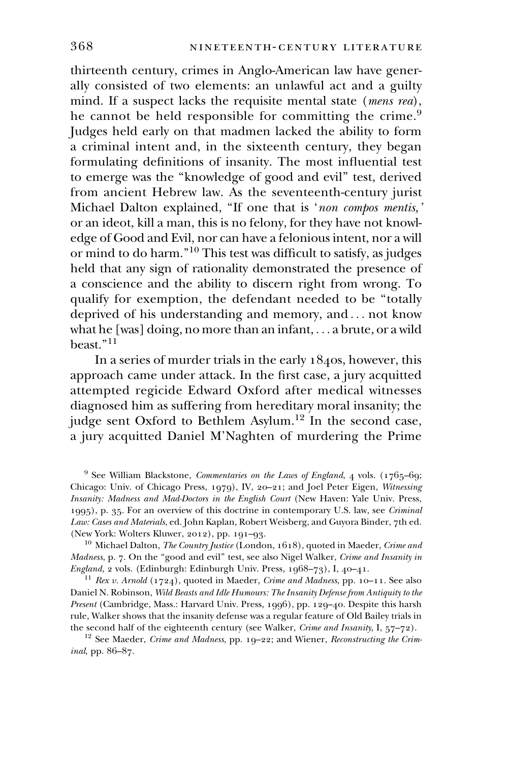thirteenth century, crimes in Anglo-American law have generally consisted of two elements: an unlawful act and a guilty mind. If a suspect lacks the requisite mental state (*mens rea*), he cannot be held responsible for committing the crime.<sup>9</sup> Judges held early on that madmen lacked the ability to form a criminal intent and, in the sixteenth century, they began formulating definitions of insanity. The most influential test to emerge was the ''knowledge of good and evil'' test, derived from ancient Hebrew law. As the seventeenth-century jurist Michael Dalton explained, ''If one that is 'non compos mentis,' or an ideot, kill a man, this is no felony, for they have not knowledge of Good and Evil, nor can have a felonious intent, nor a will or mind to do harm.''10 This test was difficult to satisfy, as judges held that any sign of rationality demonstrated the presence of a conscience and the ability to discern right from wrong. To qualify for exemption, the defendant needed to be ''totally deprived of his understanding and memory, and ... not know what he [was] doing, no more than an infant, ... a brute, or a wild beast.''11

In a series of murder trials in the early 1840s, however, this approach came under attack. In the first case, a jury acquitted attempted regicide Edward Oxford after medical witnesses diagnosed him as suffering from hereditary moral insanity; the judge sent Oxford to Bethlem Asylum.<sup>12</sup> In the second case, a jury acquitted Daniel M'Naghten of murdering the Prime

<sup>9</sup> See William Blackstone, *Commentaries on the Laws of England*, 4 vols.  $(1765-69;$ Chicago: Univ. of Chicago Press, 1979), IV, 20–21; and Joel Peter Eigen, Witnessing Insanity: Madness and Mad-Doctors in the English Court (New Haven: Yale Univ. Press, 1995), p. 35. For an overview of this doctrine in contemporary U.S. law, see Criminal Law: Cases and Materials, ed. John Kaplan, Robert Weisberg, and Guyora Binder, 7th ed. (New York: Wolters Kluwer, 2012), pp. 191–93.

<sup>10</sup> Michael Dalton, *The Country Justice* (London, 1618), quoted in Maeder, *Crime and* Madness, p. 7. On the "good and evil" test, see also Nigel Walker, Crime and Insanity in England, 2 vols. (Edinburgh: Edinburgh Univ. Press, 1968–73), I, 40–41.

<sup>11</sup> Rex v. Arnold (1724), quoted in Maeder, Crime and Madness, pp. 10–11. See also Daniel N. Robinson, Wild Beasts and Idle Humours: The Insanity Defense from Antiquity to the Present (Cambridge, Mass.: Harvard Univ. Press, 1996), pp. 129–40. Despite this harsh rule, Walker shows that the insanity defense was a regular feature of Old Bailey trials in the second half of the eighteenth century (see Walker, Crime and Insanity, I, 57–72).

<sup>12</sup> See Maeder, Crime and Madness, pp. 19-22; and Wiener, Reconstructing the Criminal, pp. 86–87.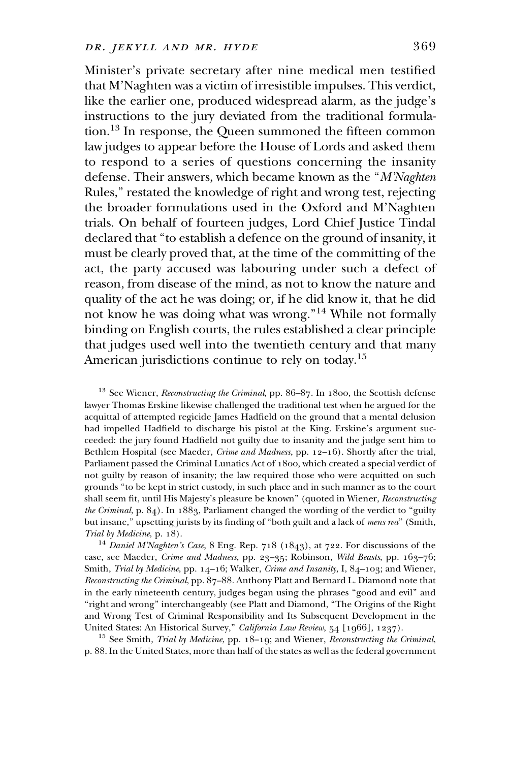Minister's private secretary after nine medical men testified that M'Naghten was a victim of irresistible impulses. This verdict, like the earlier one, produced widespread alarm, as the judge's instructions to the jury deviated from the traditional formulation.13 In response, the Queen summoned the fifteen common law judges to appear before the House of Lords and asked them to respond to a series of questions concerning the insanity defense. Their answers, which became known as the "M'Naghten Rules,'' restated the knowledge of right and wrong test, rejecting the broader formulations used in the Oxford and M'Naghten trials. On behalf of fourteen judges, Lord Chief Justice Tindal declared that ''to establish a defence on the ground of insanity, it must be clearly proved that, at the time of the committing of the act, the party accused was labouring under such a defect of reason, from disease of the mind, as not to know the nature and quality of the act he was doing; or, if he did know it, that he did not know he was doing what was wrong."<sup>14</sup> While not formally binding on English courts, the rules established a clear principle that judges used well into the twentieth century and that many American jurisdictions continue to rely on today.<sup>15</sup>

 $13$  See Wiener, *Reconstructing the Criminal*, pp. 86–87. In 1800, the Scottish defense lawyer Thomas Erskine likewise challenged the traditional test when he argued for the acquittal of attempted regicide James Hadfield on the ground that a mental delusion had impelled Hadfield to discharge his pistol at the King. Erskine's argument succeeded: the jury found Hadfield not guilty due to insanity and the judge sent him to Bethlem Hospital (see Maeder, *Crime and Madness*, pp. 12–16). Shortly after the trial, Parliament passed the Criminal Lunatics Act of 1800, which created a special verdict of not guilty by reason of insanity; the law required those who were acquitted on such grounds ''to be kept in strict custody, in such place and in such manner as to the court shall seem fit, until His Majesty's pleasure be known" (quoted in Wiener, Reconstructing the Criminal, p. 84). In 1883, Parliament changed the wording of the verdict to "guilty" but insane,'' upsetting jurists by its finding of ''both guilt and a lack of mens rea'' (Smith, Trial by Medicine, p. 18).

<sup>14</sup> Daniel M'Naghten's Case, 8 Eng. Rep.  $718$  (1843), at 722. For discussions of the case, see Maeder, Crime and Madness, pp. 23–35; Robinson, Wild Beasts, pp. 163–76; Smith, Trial by Medicine, pp. 14-16; Walker, Crime and Insanity, I, 84-103; and Wiener, Reconstructing the Criminal, pp. 87–88. Anthony Platt and Bernard L. Diamond note that in the early nineteenth century, judges began using the phrases "good and evil" and "right and wrong" interchangeably (see Platt and Diamond, "The Origins of the Right and Wrong Test of Criminal Responsibility and Its Subsequent Development in the United States: An Historical Survey," California Law Review, 54 [1966], 1237).

 $15$  See Smith, *Trial by Medicine*, pp.  $18-19$ ; and Wiener, *Reconstructing the Criminal*, p. 88. In the United States, more than half of the states as well as the federal government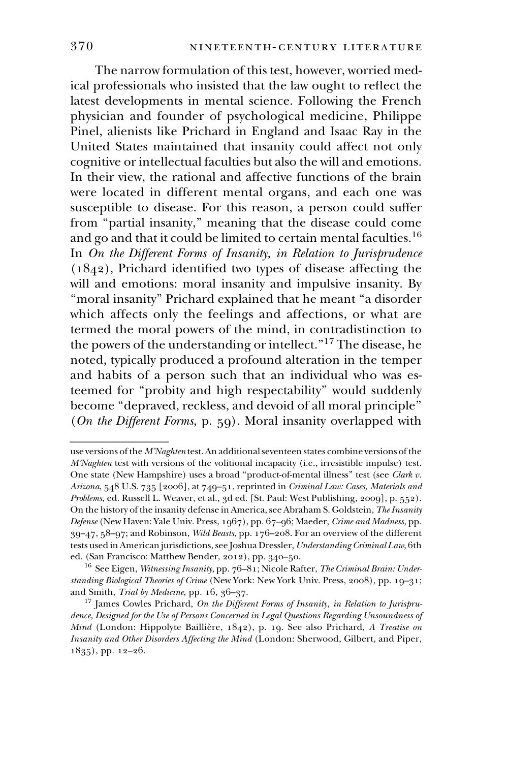The narrow formulation of this test, however, worried medical professionals who insisted that the law ought to reflect the latest developments in mental science. Following the French physician and founder of psychological medicine, Philippe Pinel, alienists like Prichard in England and Isaac Ray in the United States maintained that insanity could affect not only cognitive or intellectual faculties but also the will and emotions. In their view, the rational and affective functions of the brain were located in different mental organs, and each one was susceptible to disease. For this reason, a person could suffer from "partial insanity," meaning that the disease could come and go and that it could be limited to certain mental faculties.<sup>16</sup> In On the Different Forms of Insanity, in Relation to Jurisprudence (1842), Prichard identified two types of disease affecting the will and emotions: moral insanity and impulsive insanity. By "moral insanity" Prichard explained that he meant "a disorder which affects only the feelings and affections, or what are termed the moral powers of the mind, in contradistinction to the powers of the understanding or intellect.''17 The disease, he noted, typically produced a profound alteration in the temper and habits of a person such that an individual who was esteemed for ''probity and high respectability'' would suddenly become ''depraved, reckless, and devoid of all moral principle'' Finer, anemsts like F<br>United States maint:<br>cognitive or intellecture In their view, the rat<br>were located in diff<br>susceptible to diseas<br>from "partial insanit<br>and go and that it courses from "partial insanity"<br>(1842), Prich (On the Different Forms, p. 59). Moral insanity overlapped with

use versions of the M'Naghten test. An additional seventeen states combine versions of the M'Naghten test with versions of the volitional incapacity (i.e., irresistible impulse) test. One state (New Hampshire) uses a broad "product-of-mental illness" test (see Clark v. Arizona, 548 U.S. 735 [2006], at 749–51, reprinted in Criminal Law: Cases, Materials and Problems, ed. Russell L. Weaver, et al., 3d ed. [St. Paul: West Publishing, 2009], p. 552). On the history of the insanity defense in America, see Abraham S. Goldstein, The Insanity Defense (New Haven: Yale Univ. Press, 1967), pp. 67–96; Maeder, Crime and Madness, pp. 39–47, 58–97; and Robinson, Wild Beasts, pp. 176–208. For an overview of the different tests used in American jurisdictions, see Joshua Dressler, Understanding Criminal Law, 6th ed. (San Francisco: Matthew Bender, 2012), pp. 340–50.

<sup>&</sup>lt;sup>16</sup> See Eigen, Witnessing Insanity, pp. 76-81; Nicole Rafter, The Criminal Brain: Understanding Biological Theories of Crime (New York: New York Univ. Press, 2008), pp. 19–31; and Smith, Trial by Medicine, pp. 16, 36–37.

 $17$  James Cowles Prichard, On the Different Forms of Insanity, in Relation to Jurisprudence, Designed for the Use of Persons Concerned in Legal Questions Regarding Unsoundness of Mind (London: Hippolyte Baillière, 1842), p. 19. See also Prichard, A Treatise on Insanity and Other Disorders Affecting the Mind (London: Sherwood, Gilbert, and Piper, 1835), pp. 12–26.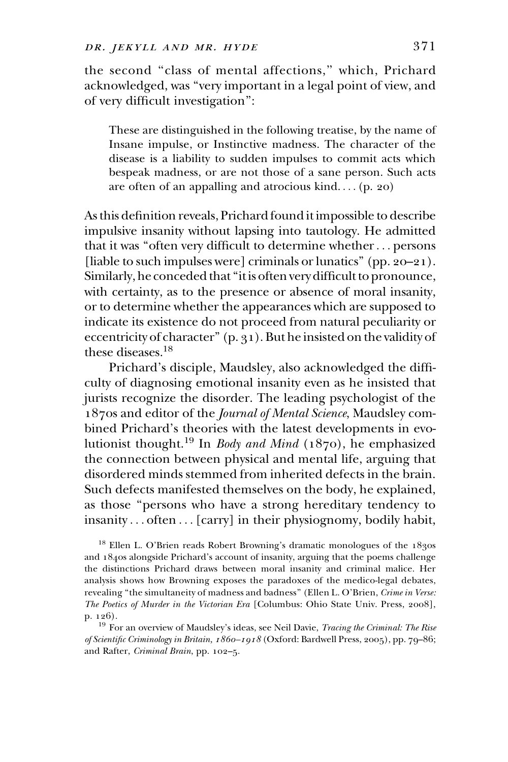the second ''class of mental affections,'' which, Prichard acknowledged, was ''very important in a legal point of view, and of very difficult investigation'':

These are distinguished in the following treatise, by the name of Insane impulse, or Instinctive madness. The character of the disease is a liability to sudden impulses to commit acts which bespeak madness, or are not those of a sane person. Such acts are often of an appalling and atrocious kind. ... (p. 20)

As this definition reveals, Prichard found it impossible to describe impulsive insanity without lapsing into tautology. He admitted that it was ''often very difficult to determine whether... persons [liable to such impulses were] criminals or lunatics'' (pp. 20–21). Similarly, he conceded that ''it is often very difficult to pronounce, with certainty, as to the presence or absence of moral insanity, or to determine whether the appearances which are supposed to indicate its existence do not proceed from natural peculiarity or eccentricity of character'' (p. 31). But he insisted on the validity of these diseases.<sup>18</sup>

Prichard's disciple, Maudsley, also acknowledged the difficulty of diagnosing emotional insanity even as he insisted that jurists recognize the disorder. The leading psychologist of the 1870s and editor of the Journal of Mental Science, Maudsley combined Prichard's theories with the latest developments in evolutionist thought.<sup>19</sup> In Body and Mind (1870), he emphasized the connection between physical and mental life, arguing that disordered minds stemmed from inherited defects in the brain. Such defects manifested themselves on the body, he explained, as those ''persons who have a strong hereditary tendency to insanity ... often ... [carry] in their physiognomy, bodily habit,

<sup>18</sup> Ellen L. O'Brien reads Robert Browning's dramatic monologues of the 1830s and 1840s alongside Prichard's account of insanity, arguing that the poems challenge the distinctions Prichard draws between moral insanity and criminal malice. Her analysis shows how Browning exposes the paradoxes of the medico-legal debates, revealing "the simultaneity of madness and badness" (Ellen L. O'Brien, Crime in Verse: The Poetics of Murder in the Victorian Era [Columbus: Ohio State Univ. Press, 2008], p. 126).

<sup>19</sup> For an overview of Maudsley's ideas, see Neil Davie, *Tracing the Criminal: The Rise* of Scientific Criminology in Britain, 1860–1918 (Oxford: Bardwell Press, 2005), pp. 79–86; and Rafter, Criminal Brain, pp. 102–5.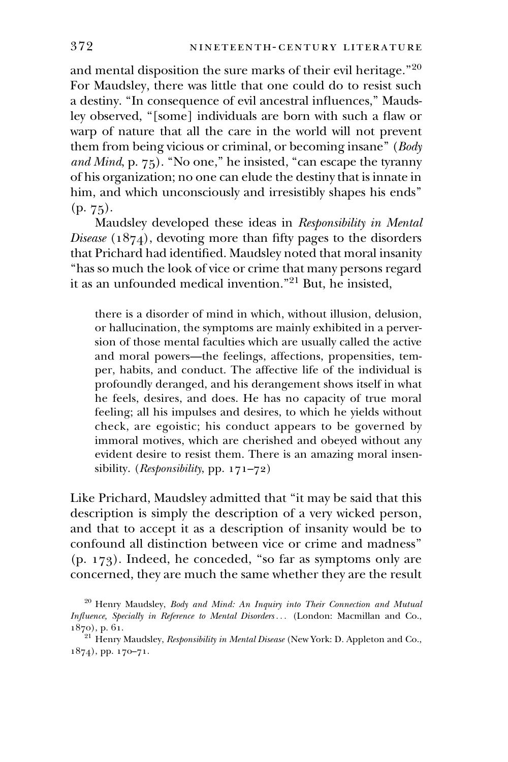and mental disposition the sure marks of their evil heritage."<sup>20</sup> For Maudsley, there was little that one could do to resist such a destiny. ''In consequence of evil ancestral influences,'' Maudsley observed, ''[some] individuals are born with such a flaw or warp of nature that all the care in the world will not prevent them from being vicious or criminal, or becoming insane" (Body and Mind, p.  $75$ ). "No one," he insisted, "can escape the tyranny of his organization; no one can elude the destiny that is innate in him, and which unconsciously and irresistibly shapes his ends''  $(p. 75)$ .

Maudsley developed these ideas in Responsibility in Mental Disease  $(1874)$ , devoting more than fifty pages to the disorders that Prichard had identified. Maudsley noted that moral insanity "has so much the look of vice or crime that many persons regard it as an unfounded medical invention."<sup>21</sup> But, he insisted,

there is a disorder of mind in which, without illusion, delusion, or hallucination, the symptoms are mainly exhibited in a perversion of those mental faculties which are usually called the active and moral powers—the feelings, affections, propensities, temper, habits, and conduct. The affective life of the individual is profoundly deranged, and his derangement shows itself in what he feels, desires, and does. He has no capacity of true moral feeling; all his impulses and desires, to which he yields without check, are egoistic; his conduct appears to be governed by immoral motives, which are cherished and obeyed without any evident desire to resist them. There is an amazing moral insensibility. (*Responsibility*, pp.  $171-72$ )

Like Prichard, Maudsley admitted that ''it may be said that this description is simply the description of a very wicked person, and that to accept it as a description of insanity would be to confound all distinction between vice or crime and madness'' (p. 173). Indeed, he conceded, ''so far as symptoms only are concerned, they are much the same whether they are the result

<sup>21</sup> Henry Maudsley, Responsibility in Mental Disease (New York: D. Appleton and Co., 1874), pp. 170–71.

 $20$  Henry Maudsley, Body and Mind: An Inquiry into Their Connection and Mutual Influence, Specially in Reference to Mental Disorders ... (London: Macmillan and Co., 1870), p. 61.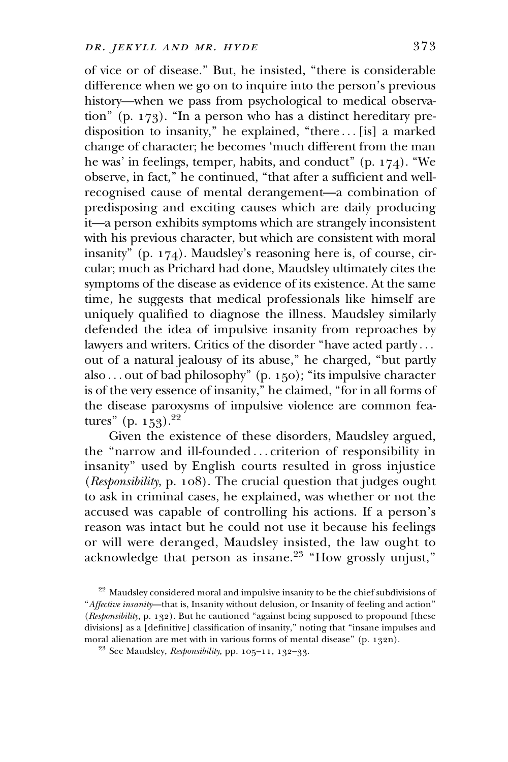of vice or of disease.'' But, he insisted, ''there is considerable difference when we go on to inquire into the person's previous history—when we pass from psychological to medical observation'' (p. 173). ''In a person who has a distinct hereditary predisposition to insanity,'' he explained, ''there ... [is] a marked change of character; he becomes 'much different from the man he was' in feelings, temper, habits, and conduct'' (p. 174). ''We observe, in fact," he continued, "that after a sufficient and wellrecognised cause of mental derangement—a combination of predisposing and exciting causes which are daily producing it—a person exhibits symptoms which are strangely inconsistent with his previous character, but which are consistent with moral insanity'' (p. 174). Maudsley's reasoning here is, of course, circular; much as Prichard had done, Maudsley ultimately cites the symptoms of the disease as evidence of its existence. At the same time, he suggests that medical professionals like himself are uniquely qualified to diagnose the illness. Maudsley similarly defended the idea of impulsive insanity from reproaches by lawyers and writers. Critics of the disorder "have acted partly... out of a natural jealousy of its abuse,'' he charged, ''but partly also ... out of bad philosophy'' (p. 150); ''its impulsive character is of the very essence of insanity," he claimed, "for in all forms of the disease paroxysms of impulsive violence are common features" (p. 153).<sup>22</sup>

Given the existence of these disorders, Maudsley argued, the ''narrow and ill-founded ... criterion of responsibility in insanity'' used by English courts resulted in gross injustice (Responsibility, p. 108). The crucial question that judges ought to ask in criminal cases, he explained, was whether or not the accused was capable of controlling his actions. If a person's reason was intact but he could not use it because his feelings or will were deranged, Maudsley insisted, the law ought to acknowledge that person as insane.<sup>23</sup> "How grossly unjust,"

<sup>&</sup>lt;sup>22</sup> Maudsley considered moral and impulsive insanity to be the chief subdivisions of ''Affective insanity—that is, Insanity without delusion, or Insanity of feeling and action'' (Responsibility, p. 132). But he cautioned ''against being supposed to propound [these divisions] as a [definitive] classification of insanity,'' noting that ''insane impulses and moral alienation are met with in various forms of mental disease'' (p. 132n).

<sup>&</sup>lt;sup>23</sup> See Maudsley, *Responsibility*, pp.  $105-11$ ,  $132-33$ .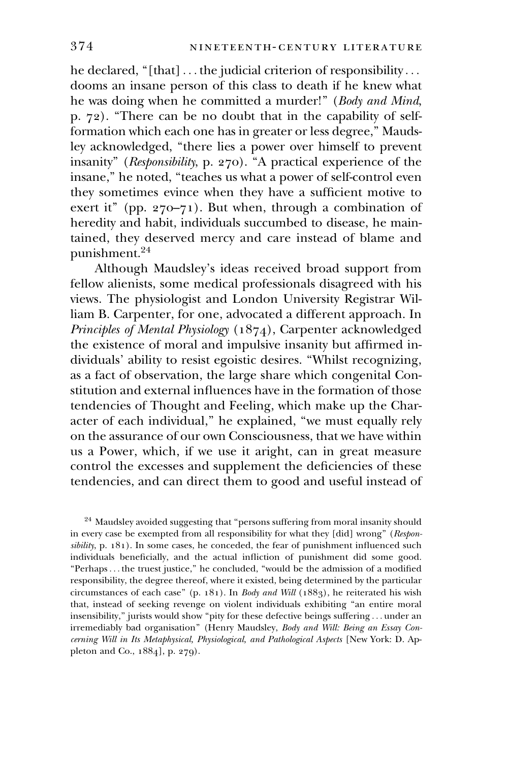he declared, "[that] ... the judicial criterion of responsibility... dooms an insane person of this class to death if he knew what he was doing when he committed a murder!'' (Body and Mind, p. 72). ''There can be no doubt that in the capability of selfformation which each one has in greater or less degree,'' Maudsley acknowledged, ''there lies a power over himself to prevent insanity" (Responsibility, p. 270). "A practical experience of the insane,'' he noted, ''teaches us what a power of self-control even they sometimes evince when they have a sufficient motive to exert it" (pp.  $270-71$ ). But when, through a combination of heredity and habit, individuals succumbed to disease, he maintained, they deserved mercy and care instead of blame and punishment.24

Although Maudsley's ideas received broad support from fellow alienists, some medical professionals disagreed with his views. The physiologist and London University Registrar William B. Carpenter, for one, advocated a different approach. In Principles of Mental Physiology (1874), Carpenter acknowledged the existence of moral and impulsive insanity but affirmed individuals' ability to resist egoistic desires. ''Whilst recognizing, as a fact of observation, the large share which congenital Constitution and external influences have in the formation of those tendencies of Thought and Feeling, which make up the Character of each individual,'' he explained, ''we must equally rely on the assurance of our own Consciousness, that we have within us a Power, which, if we use it aright, can in great measure control the excesses and supplement the deficiencies of these tendencies, and can direct them to good and useful instead of

<sup>24</sup> Maudsley avoided suggesting that "persons suffering from moral insanity should in every case be exempted from all responsibility for what they [did] wrong'' (Responsibility, p. 181). In some cases, he conceded, the fear of punishment influenced such individuals beneficially, and the actual infliction of punishment did some good. ''Perhaps... the truest justice,'' he concluded, ''would be the admission of a modified responsibility, the degree thereof, where it existed, being determined by the particular circumstances of each case'' (p. 181). In Body and Will (1883), he reiterated his wish that, instead of seeking revenge on violent individuals exhibiting ''an entire moral insensibility,'' jurists would show ''pity for these defective beings suffering ... under an irremediably bad organisation'' (Henry Maudsley, Body and Will: Being an Essay Concerning Will in Its Metaphysical, Physiological, and Pathological Aspects [New York: D. Appleton and Co., 1884], p. 279).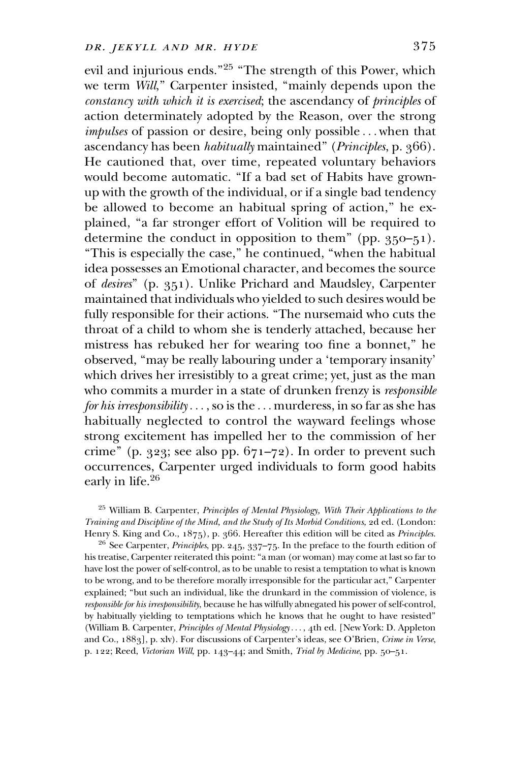evil and injurious ends."<sup>25</sup> "The strength of this Power, which we term Will," Carpenter insisted, "mainly depends upon the constancy with which it is exercised; the ascendancy of principles of action determinately adopted by the Reason, over the strong impulses of passion or desire, being only possible ... when that ascendancy has been habitually maintained'' (Principles, p. 366). He cautioned that, over time, repeated voluntary behaviors would become automatic. ''If a bad set of Habits have grownup with the growth of the individual, or if a single bad tendency be allowed to become an habitual spring of action,'' he explained, "a far stronger effort of Volition will be required to determine the conduct in opposition to them'' (pp. 350–51). ''This is especially the case,'' he continued, ''when the habitual idea possesses an Emotional character, and becomes the source of desires'' (p. 351). Unlike Prichard and Maudsley, Carpenter maintained that individuals who yielded to such desires would be fully responsible for their actions. "The nursemaid who cuts the throat of a child to whom she is tenderly attached, because her mistress has rebuked her for wearing too fine a bonnet,'' he observed, ''may be really labouring under a 'temporary insanity' which drives her irresistibly to a great crime; yet, just as the man who commits a murder in a state of drunken frenzy is responsible for his irresponsibility..., so is the ... murderess, in so far as she has habitually neglected to control the wayward feelings whose strong excitement has impelled her to the commission of her crime" (p. 323; see also pp.  $671-72$ ). In order to prevent such occurrences, Carpenter urged individuals to form good habits early in life.26

<sup>25</sup> William B. Carpenter, Principles of Mental Physiology, With Their Applications to the Training and Discipline of the Mind, and the Study of Its Morbid Conditions, 2d ed. (London: Henry S. King and Co., 1875), p. 366. Hereafter this edition will be cited as Principles.

<sup>26</sup> See Carpenter, *Principles*, pp. 245, 337-75. In the preface to the fourth edition of his treatise, Carpenter reiterated this point: ''a man (or woman) may come at last so far to have lost the power of self-control, as to be unable to resist a temptation to what is known to be wrong, and to be therefore morally irresponsible for the particular act,'' Carpenter explained; ''but such an individual, like the drunkard in the commission of violence, is responsible for his irresponsibility, because he has wilfully abnegated his power of self-control, by habitually yielding to temptations which he knows that he ought to have resisted'' (William B. Carpenter, Principles of Mental Physiology... , 4th ed. [New York: D. Appleton and Co., 1883], p. xlv). For discussions of Carpenter's ideas, see O'Brien, Crime in Verse, p. 122; Reed, Victorian Will, pp. 143–44; and Smith, Trial by Medicine, pp. 50–51.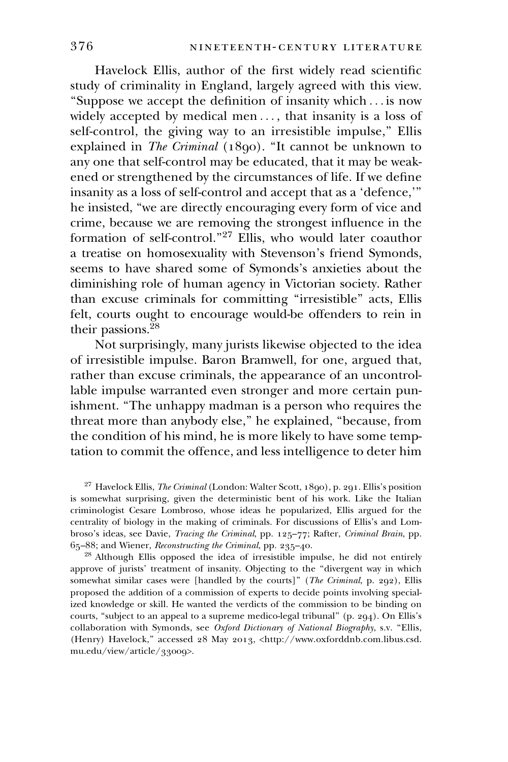Havelock Ellis, author of the first widely read scientific study of criminality in England, largely agreed with this view. ''Suppose we accept the definition of insanity which ... is now widely accepted by medical men ... , that insanity is a loss of self-control, the giving way to an irresistible impulse,'' Ellis explained in *The Criminal* (1890). "It cannot be unknown to any one that self-control may be educated, that it may be weakened or strengthened by the circumstances of life. If we define insanity as a loss of self-control and accept that as a 'defence,''' he insisted, ''we are directly encouraging every form of vice and crime, because we are removing the strongest influence in the formation of self-control."<sup>27</sup> Ellis, who would later coauthor a treatise on homosexuality with Stevenson's friend Symonds, seems to have shared some of Symonds's anxieties about the diminishing role of human agency in Victorian society. Rather than excuse criminals for committing ''irresistible'' acts, Ellis felt, courts ought to encourage would-be offenders to rein in their passions.<sup>28</sup>

Not surprisingly, many jurists likewise objected to the idea of irresistible impulse. Baron Bramwell, for one, argued that, rather than excuse criminals, the appearance of an uncontrollable impulse warranted even stronger and more certain punishment. ''The unhappy madman is a person who requires the threat more than anybody else,'' he explained, ''because, from the condition of his mind, he is more likely to have some temptation to commit the offence, and less intelligence to deter him

<sup>28</sup> Although Ellis opposed the idea of irresistible impulse, he did not entirely approve of jurists' treatment of insanity. Objecting to the ''divergent way in which somewhat similar cases were [handled by the courts]" (*The Criminal*, p. 292), Ellis proposed the addition of a commission of experts to decide points involving specialized knowledge or skill. He wanted the verdicts of the commission to be binding on courts, "subject to an appeal to a supreme medico-legal tribunal" (p. 294). On Ellis's collaboration with Symonds, see Oxford Dictionary of National Biography, s.v. ''Ellis, (Henry) Havelock,'' accessed 28 May 2013, <[http://www.oxforddnb.com.libus.csd.](http://www.oxforddnb.com.libus.csd.mu.edu/view/article/33009) [mu.edu/view/article/](http://www.oxforddnb.com.libus.csd.mu.edu/view/article/33009)33009>.

<sup>&</sup>lt;sup>27</sup> Havelock Ellis, *The Criminal* (London: Walter Scott, 1890), p. 291. Ellis's position is somewhat surprising, given the deterministic bent of his work. Like the Italian criminologist Cesare Lombroso, whose ideas he popularized, Ellis argued for the centrality of biology in the making of criminals. For discussions of Ellis's and Lombroso's ideas, see Davie, Tracing the Criminal, pp. 125–77; Rafter, Criminal Brain, pp. 65–88; and Wiener, Reconstructing the Criminal, pp. 235–40.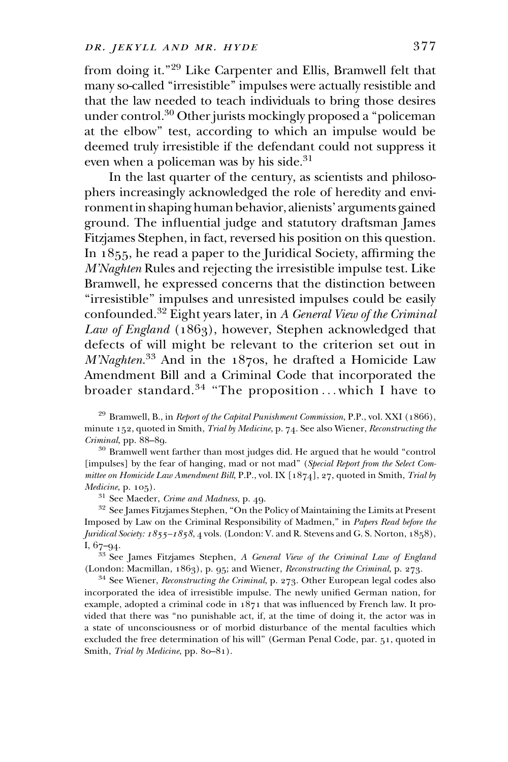from doing it.''29 Like Carpenter and Ellis, Bramwell felt that many so-called ''irresistible'' impulses were actually resistible and that the law needed to teach individuals to bring those desires under control.<sup>30</sup> Other jurists mockingly proposed a "policeman at the elbow'' test, according to which an impulse would be deemed truly irresistible if the defendant could not suppress it even when a policeman was by his side.<sup>31</sup>

In the last quarter of the century, as scientists and philosophers increasingly acknowledged the role of heredity and environment in shaping human behavior, alienists' arguments gained ground. The influential judge and statutory draftsman James Fitzjames Stephen, in fact, reversed his position on this question. In 1855, he read a paper to the Juridical Society, affirming the M'Naghten Rules and rejecting the irresistible impulse test. Like Bramwell, he expressed concerns that the distinction between ''irresistible'' impulses and unresisted impulses could be easily confounded.<sup>32</sup> Eight years later, in A General View of the Criminal Law of England (1863), however, Stephen acknowledged that defects of will might be relevant to the criterion set out in M'Naghten. <sup>33</sup> And in the 1870s, he drafted a Homicide Law Amendment Bill and a Criminal Code that incorporated the broader standard.<sup>34</sup> ''The proposition ... which I have to

<sup>29</sup> Bramwell, B., in Report of the Capital Punishment Commission, P.P., vol. XXI (1866), minute 152, quoted in Smith, Trial by Medicine, p. 74. See also Wiener, Reconstructing the Criminal, pp. 88–89.

 $^\mathrm{30}$  Bramwell went farther than most judges did. He argued that he would "control [impulses] by the fear of hanging, mad or not mad" (Special Report from the Select Committee on Homicide Law Amendment Bill, P.P., vol. IX  $[1874]$ , 27, quoted in Smith, Trial by Medicine, p. 105).

 $31$  See Maeder, Crime and Madness, p. 49.

<sup>32</sup> See James Fitzjames Stephen, "On the Policy of Maintaining the Limits at Present Imposed by Law on the Criminal Responsibility of Madmen,'' in Papers Read before the Juridical Society: 1855–1858, 4 vols. (London: V. and R. Stevens and G. S. Norton, 1858), I, 67–94.

 $33$  See James Fitzjames Stephen, A General View of the Criminal Law of England (London: Macmillan, 1863), p. 95; and Wiener, Reconstructing the Criminal, p. 273.

 $34$  See Wiener, *Reconstructing the Criminal*, p. 273. Other European legal codes also incorporated the idea of irresistible impulse. The newly unified German nation, for example, adopted a criminal code in 1871 that was influenced by French law. It provided that there was ''no punishable act, if, at the time of doing it, the actor was in a state of unconsciousness or of morbid disturbance of the mental faculties which excluded the free determination of his will'' (German Penal Code, par. 51, quoted in Smith, Trial by Medicine, pp. 80-81).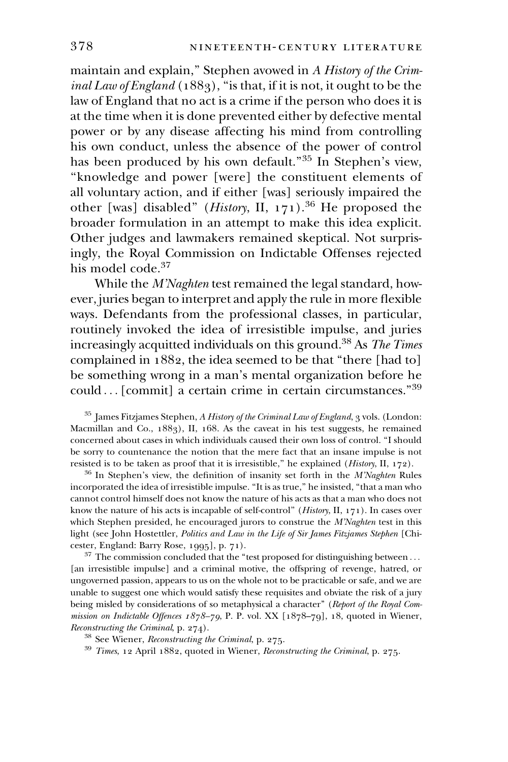maintain and explain," Stephen avowed in A History of the Criminal Law of England (1883), "is that, if it is not, it ought to be the law of England that no act is a crime if the person who does it is at the time when it is done prevented either by defective mental power or by any disease affecting his mind from controlling his own conduct, unless the absence of the power of control has been produced by his own default."<sup>35</sup> In Stephen's view, ''knowledge and power [were] the constituent elements of all voluntary action, and if either [was] seriously impaired the other [was] disabled" (*History*, II, 171).<sup>36</sup> He proposed the broader formulation in an attempt to make this idea explicit. Other judges and lawmakers remained skeptical. Not surprisingly, the Royal Commission on Indictable Offenses rejected his model code.<sup>37</sup>

While the M'Naghten test remained the legal standard, however, juries began to interpret and apply the rule in more flexible ways. Defendants from the professional classes, in particular, routinely invoked the idea of irresistible impulse, and juries increasingly acquitted individuals on this ground.<sup>38</sup> As *The Times* complained in 1882, the idea seemed to be that ''there [had to] be something wrong in a man's mental organization before he could ... [commit] a certain crime in certain circumstances.''39

 $35$  James Fitzjames Stephen, A History of the Criminal Law of England, 3 vols. (London: Macmillan and Co., 1883), II, 168. As the caveat in his test suggests, he remained concerned about cases in which individuals caused their own loss of control. ''I should be sorry to countenance the notion that the mere fact that an insane impulse is not resisted is to be taken as proof that it is irresistible," he explained (*History*, II, 172).

 $36$  In Stephen's view, the definition of insanity set forth in the *M'Naghten* Rules incorporated the idea of irresistible impulse. ''It is as true,'' he insisted, ''that a man who cannot control himself does not know the nature of his acts as that a man who does not know the nature of his acts is incapable of self-control'' (History, II, 171). In cases over which Stephen presided, he encouraged jurors to construe the M'Naghten test in this light (see John Hostettler, Politics and Law in the Life of Sir James Fitzjames Stephen [Chicester, England: Barry Rose, 1995], p. 71).

 $37$  The commission concluded that the "test proposed for distinguishing between... [an irresistible impulse] and a criminal motive, the offspring of revenge, hatred, or ungoverned passion, appears to us on the whole not to be practicable or safe, and we are unable to suggest one which would satisfy these requisites and obviate the risk of a jury being misled by considerations of so metaphysical a character" (Report of the Royal Commission on Indictable Offences  $1878-79$ , P. P. vol. XX  $[1878-79]$ , 18, quoted in Wiener, Reconstructing the Criminal, p. 274).

 $38$  See Wiener, Reconstructing the Criminal, p. 275.

 $39$  Times, 12 April 1882, quoted in Wiener, Reconstructing the Criminal, p. 275.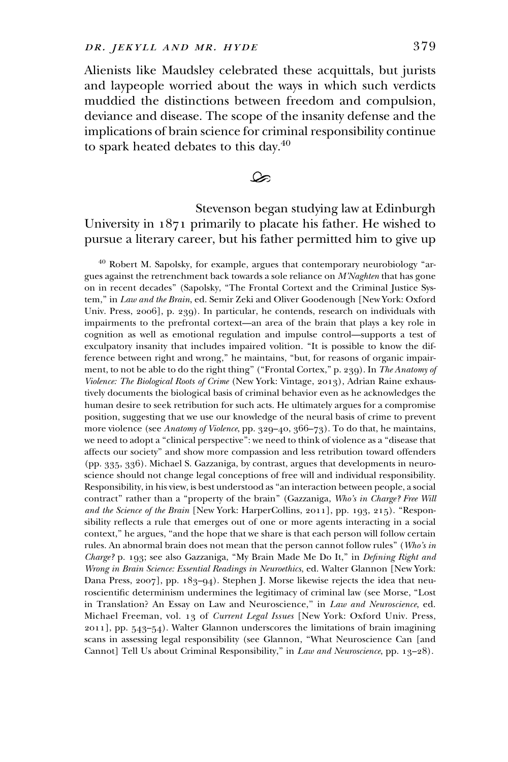Alienists like Maudsley celebrated these acquittals, but jurists and laypeople worried about the ways in which such verdicts muddied the distinctions between freedom and compulsion, deviance and disease. The scope of the insanity defense and the implications of brain science for criminal responsibility continue to spark heated debates to this day.40

#### ھک

### Stevenson began studying law at Edinburgh University in 1871 primarily to placate his father. He wished to pursue a literary career, but his father permitted him to give up

<sup>40</sup> Robert M. Sapolsky, for example, argues that contemporary neurobiology "argues against the retrenchment back towards a sole reliance on M'Naghten that has gone on in recent decades'' (Sapolsky, ''The Frontal Cortext and the Criminal Justice System," in Law and the Brain, ed. Semir Zeki and Oliver Goodenough [New York: Oxford Univ. Press, 2006], p. 239). In particular, he contends, research on individuals with impairments to the prefrontal cortext—an area of the brain that plays a key role in cognition as well as emotional regulation and impulse control—supports a test of exculpatory insanity that includes impaired volition. ''It is possible to know the difference between right and wrong,'' he maintains, ''but, for reasons of organic impairment, to not be able to do the right thing" ("Frontal Cortex," p. 239). In The Anatomy of Violence: The Biological Roots of Crime (New York: Vintage, 2013), Adrian Raine exhaustively documents the biological basis of criminal behavior even as he acknowledges the human desire to seek retribution for such acts. He ultimately argues for a compromise position, suggesting that we use our knowledge of the neural basis of crime to prevent more violence (see Anatomy of Violence, pp. 329–40, 366–73). To do that, he maintains, we need to adopt a ''clinical perspective'': we need to think of violence as a ''disease that affects our society'' and show more compassion and less retribution toward offenders (pp. 335, 336). Michael S. Gazzaniga, by contrast, argues that developments in neuroscience should not change legal conceptions of free will and individual responsibility. Responsibility, in his view, is best understood as ''an interaction between people, a social contract" rather than a "property of the brain" (Gazzaniga, Who's in Charge? Free Will and the Science of the Brain [New York: HarperCollins, 2011], pp. 193, 215). "Responsibility reflects a rule that emerges out of one or more agents interacting in a social context," he argues, "and the hope that we share is that each person will follow certain rules. An abnormal brain does not mean that the person cannot follow rules" (Who's in Charge? p. 193; see also Gazzaniga, ''My Brain Made Me Do It,'' in Defining Right and Wrong in Brain Science: Essential Readings in Neuroethics, ed. Walter Glannon [New York: Dana Press, 2007], pp. 183–94). Stephen J. Morse likewise rejects the idea that neuroscientific determinism undermines the legitimacy of criminal law (see Morse, ''Lost in Translation? An Essay on Law and Neuroscience," in Law and Neuroscience, ed. Michael Freeman, vol. 13 of Current Legal Issues [New York: Oxford Univ. Press, 2011], pp. 543–54). Walter Glannon underscores the limitations of brain imagining scans in assessing legal responsibility (see Glannon, ''What Neuroscience Can [and Cannot] Tell Us about Criminal Responsibility," in Law and Neuroscience, pp. 13–28).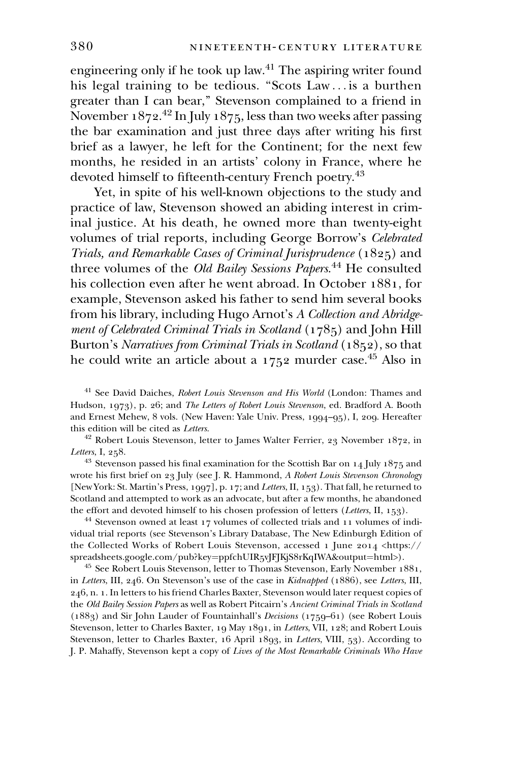engineering only if he took up law.<sup>41</sup> The aspiring writer found his legal training to be tedious. ''Scots Law ... is a burthen greater than I can bear,'' Stevenson complained to a friend in November 1872. <sup>42</sup> In July 1875, less than two weeks after passing the bar examination and just three days after writing his first brief as a lawyer, he left for the Continent; for the next few months, he resided in an artists' colony in France, where he devoted himself to fifteenth-century French poetry.<sup>43</sup>

Yet, in spite of his well-known objections to the study and practice of law, Stevenson showed an abiding interest in criminal justice. At his death, he owned more than twenty-eight volumes of trial reports, including George Borrow's Celebrated Trials, and Remarkable Cases of Criminal Jurisprudence (1825) and three volumes of the *Old Bailey Sessions Papers*.<sup>44</sup> He consulted his collection even after he went abroad. In October 1881, for example, Stevenson asked his father to send him several books from his library, including Hugo Arnot's A Collection and Abridgement of Celebrated Criminal Trials in Scotland (1785) and John Hill Burton's Narratives from Criminal Trials in Scotland (1852), so that he could write an article about a  $1752$  murder case.<sup>45</sup> Also in

<sup>41</sup> See David Daiches, *Robert Louis Stevenson and His World* (London: Thames and Hudson, 1973), p. 26; and The Letters of Robert Louis Stevenson, ed. Bradford A. Booth and Ernest Mehew, 8 vols. (New Haven: Yale Univ. Press, 1994–95), I, 209. Hereafter this edition will be cited as Letters.

<sup>42</sup> Robert Louis Stevenson, letter to James Walter Ferrier, 23 November 1872, in Letters, I, 258.

 $43$  Stevenson passed his final examination for the Scottish Bar on 14 July 1875 and wrote his first brief on 23 July (see J. R. Hammond, A Robert Louis Stevenson Chronology [New York: St. Martin's Press, 1997], p. 17; and Letters, II, 153). That fall, he returned to Scotland and attempted to work as an advocate, but after a few months, he abandoned the effort and devoted himself to his chosen profession of letters (Letters, II, 153).

<sup>44</sup> Stevenson owned at least 17 volumes of collected trials and 11 volumes of individual trial reports (see Stevenson's Library Database, The New Edinburgh Edition of the Collected Works of Robert Louis Stevenson, accessed 1 June 2014 <[https://](https://spreadsheets.google.com/pub?key=ppfchUIR5vJFJKjS8rKqIWA&output=html) [spreadsheets.google.com/pub?key](https://spreadsheets.google.com/pub?key=ppfchUIR5vJFJKjS8rKqIWA&output=html)=ppfchUIR5vJFJKjS8[rKqIWA&output](https://spreadsheets.google.com/pub?key=ppfchUIR5vJFJKjS8rKqIWA&output=html)=[html](https://spreadsheets.google.com/pub?key=ppfchUIR5vJFJKjS8rKqIWA&output=html)>).

<sup>45</sup> See Robert Louis Stevenson, letter to Thomas Stevenson, Early November 1881, in Letters, III, 246. On Stevenson's use of the case in Kidnapped (1886), see Letters, III, 246, n. 1. In letters to his friend Charles Baxter, Stevenson would later request copies of the Old Bailey Session Papers as well as Robert Pitcairn's Ancient Criminal Trials in Scotland (1883) and Sir John Lauder of Fountainhall's Decisions (1759–61) (see Robert Louis Stevenson, letter to Charles Baxter, 19 May 1891, in Letters, VII, 128; and Robert Louis Stevenson, letter to Charles Baxter, 16 April 1893, in Letters, VIII, 53). According to J. P. Mahaffy, Stevenson kept a copy of Lives of the Most Remarkable Criminals Who Have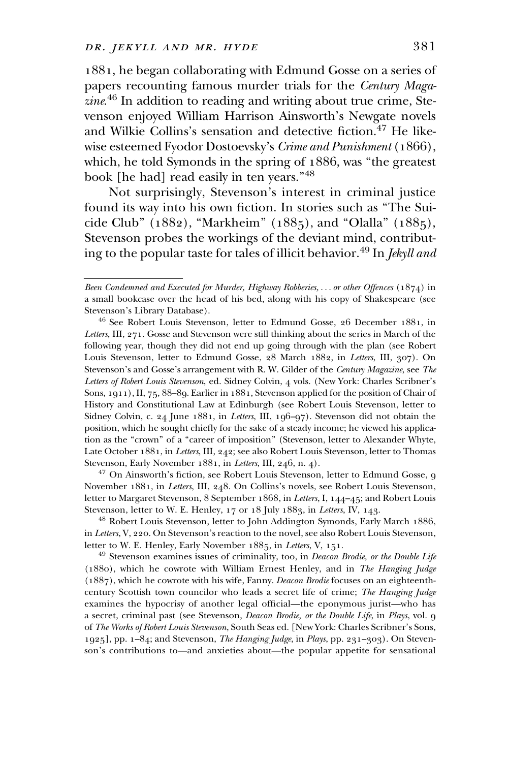1881, he began collaborating with Edmund Gosse on a series of papers recounting famous murder trials for the Century Magazine.<sup>46</sup> In addition to reading and writing about true crime, Stevenson enjoyed William Harrison Ainsworth's Newgate novels and Wilkie Collins's sensation and detective fiction.<sup>47</sup> He likewise esteemed Fyodor Dostoevsky's Crime and Punishment (1866), which, he told Symonds in the spring of 1886, was "the greatest book [he had] read easily in ten years."<sup>48</sup> *DR. JEKYLL AND M*<br>1881, he began collal<br>papers recounting fa<br>*zine*.<sup>46</sup> In addition to<br>venson enjoyed Willi<br>and Wilkie Collins's<br>wise esteemed Fyodor<br>which, he told Symon<br>book [he had] read (Not surprisingly<br>found its w

Not surprisingly, Stevenson's interest in criminal justice found its way into his own fiction. In stories such as ''The Suicide Club" (1882), "Markheim" (1885), and "Olalla" (1885), Stevenson probes the workings of the deviant mind, contributing to the popular taste for tales of illicit behavior.<sup>49</sup> In *Jekyll and* 

 $47$  On Ainsworth's fiction, see Robert Louis Stevenson, letter to Edmund Gosse, 9 November 1881, in Letters, III, 248. On Collins's novels, see Robert Louis Stevenson, letter to Margaret Stevenson, 8 September 1868, in Letters, I, 144–45; and Robert Louis Stevenson, letter to W. E. Henley, 17 or 18 July 1883, in Letters, IV, 143.

<sup>48</sup> Robert Louis Stevenson, letter to John Addington Symonds, Early March 1886, in Letters, V, 220. On Stevenson's reaction to the novel, see also Robert Louis Stevenson, letter to W. E. Henley, Early November 1885, in Letters, V, 151.

 $49$  Stevenson examines issues of criminality, too, in *Deacon Brodie, or the Double Life* (1880), which he cowrote with William Ernest Henley, and in The Hanging Judge (1887), which he cowrote with his wife, Fanny. Deacon Brodie focuses on an eighteenthcentury Scottish town councilor who leads a secret life of crime; The Hanging Judge examines the hypocrisy of another legal official—the eponymous jurist—who has a secret, criminal past (see Stevenson, Deacon Brodie, or the Double Life, in Plays, vol. 9 of The Works of Robert Louis Stevenson, South Seas ed. [New York: Charles Scribner's Sons, 1925], pp. 1–84; and Stevenson, The Hanging Judge, in Plays, pp. 231–303). On Stevenson's contributions to—and anxieties about—the popular appetite for sensational

Been Condemned and Executed for Murder, Highway Robberies, ... or other Offences  $(1874)$  in a small bookcase over the head of his bed, along with his copy of Shakespeare (see Stevenson's Library Database).

<sup>46</sup> See Robert Louis Stevenson, letter to Edmund Gosse, 26 December 1881, in Letters, III, 271. Gosse and Stevenson were still thinking about the series in March of the following year, though they did not end up going through with the plan (see Robert Louis Stevenson, letter to Edmund Gosse, 28 March 1882, in Letters, III, 307). On Stevenson's and Gosse's arrangement with R. W. Gilder of the Century Magazine, see The Letters of Robert Louis Stevenson, ed. Sidney Colvin, 4 vols. (New York: Charles Scribner's Sons, 1911), II, 75, 88–89. Earlier in 1881, Stevenson applied for the position of Chair of History and Constitutional Law at Edinburgh (see Robert Louis Stevenson, letter to Sidney Colvin, c. 24 June 1881, in Letters, III, 196–97). Stevenson did not obtain the position, which he sought chiefly for the sake of a steady income; he viewed his application as the "crown" of a "career of imposition" (Stevenson, letter to Alexander Whyte, Late October 1881, in Letters, III, 242; see also Robert Louis Stevenson, letter to Thomas Stevenson, Early November 1881, in Letters, III, 246, n. 4).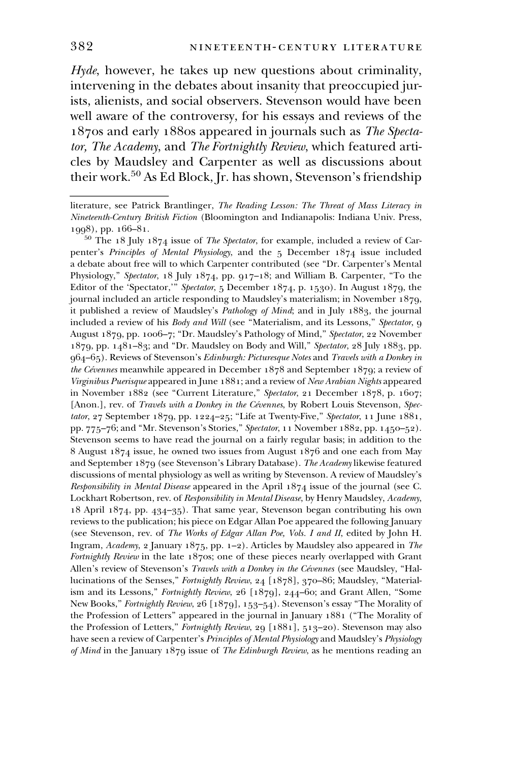Hyde, however, he takes up new questions about criminality, intervening in the debates about insanity that preoccupied jurists, alienists, and social observers. Stevenson would have been well aware of the controversy, for his essays and reviews of the 1870s and early 1880s appeared in journals such as The Spectator, The Academy, and The Fortnightly Review, which featured articles by Maudsley and Carpenter as well as discussions about their work.<sup>50</sup> As Ed Block, Jr. has shown, Stevenson's friendship 382<br>Hyde, however, he tz<br>intervening in the de<br>ists, alienists, and soc<br>well aware of the cor<br>1870s and early 1886<br>tor, The Academy, and<br>cles by Maudsley and<br>their work.<sup>50</sup> As Ed B<br>literature, see Patrick Brant<br>literatur

literature, see Patrick Brantlinger, The Reading Lesson: The Threat of Mass Literacy in Nineteenth-Century British Fiction (Bloomington and Indianapolis: Indiana Univ. Press, 1998), pp. 166–81.

 $50$  The 18 July 1874 issue of The Spectator, for example, included a review of Carpenter's Principles of Mental Physiology, and the 5 December 1874 issue included a debate about free will to which Carpenter contributed (see ''Dr. Carpenter's Mental Physiology," Spectator, 18 July 1874, pp. 917–18; and William B. Carpenter, "To the Editor of the 'Spectator,''' Spectator,  $5$  December 1874, p. 1530). In August 1879, the journal included an article responding to Maudsley's materialism; in November 1879, it published a review of Maudsley's Pathology of Mind; and in July 1883, the journal included a review of his *Body and Will* (see "Materialism, and its Lessons," *Spectator*, 9 August 1879, pp. 1006–7; ''Dr. Maudsley's Pathology of Mind,'' Spectator, 22 November 1879, pp. 1481-83; and "Dr. Maudsley on Body and Will," Spectator, 28 July 1883, pp. 964–65). Reviews of Stevenson's Edinburgh: Picturesque Notes and Travels with a Donkey in the Cévennes meanwhile appeared in December 1878 and September 1879; a review of Virginibus Puerisque appeared in June 1881; and a review of New Arabian Nights appeared in November 1882 (see "Current Literature," Spectator, 21 December 1878, p. 1607; [Anon.], rev. of Travels with a Donkey in the Cévennes, by Robert Louis Stevenson, Spectator, 27 September 1879, pp. 1224-25; "Life at Twenty-Five," Spectator, 11 June 1881, pp. 775–76; and ''Mr. Stevenson's Stories,'' Spectator, 11 November 1882, pp. 1450–52). Stevenson seems to have read the journal on a fairly regular basis; in addition to the 8 August 1874 issue, he owned two issues from August 1876 and one each from May and September 1879 (see Stevenson's Library Database). The Academy likewise featured discussions of mental physiology as well as writing by Stevenson. A review of Maudsley's Responsibility in Mental Disease appeared in the April 1874 issue of the journal (see C. Lockhart Robertson, rev. of Responsibility in Mental Disease, by Henry Maudsley, Academy, 18 April 1874, pp. 434–35). That same year, Stevenson began contributing his own reviews to the publication; his piece on Edgar Allan Poe appeared the following January (see Stevenson, rev. of The Works of Edgar Allan Poe, Vols. I and II, edited by John H. Ingram, Academy, 2 January 1875, pp. 1–2). Articles by Maudsley also appeared in The Fortnightly Review in the late 1870s; one of these pieces nearly overlapped with Grant Allen's review of Stevenson's Travels with a Donkey in the Cévennes (see Maudsley, "Hallucinations of the Senses,'' Fortnightly Review, 24 [1878], 370–86; Maudsley, ''Materialism and its Lessons,'' Fortnightly Review, 26 [1879], 244–60; and Grant Allen, ''Some New Books,'' Fortnightly Review, 26 [1879], 153–54). Stevenson's essay ''The Morality of the Profession of Letters'' appeared in the journal in January 1881 (''The Morality of the Profession of Letters," Fortnightly Review, 29 [1881], 513–20). Stevenson may also have seen a review of Carpenter's Principles of Mental Physiology and Maudsley's Physiology of Mind in the January 1879 issue of The Edinburgh Review, as he mentions reading an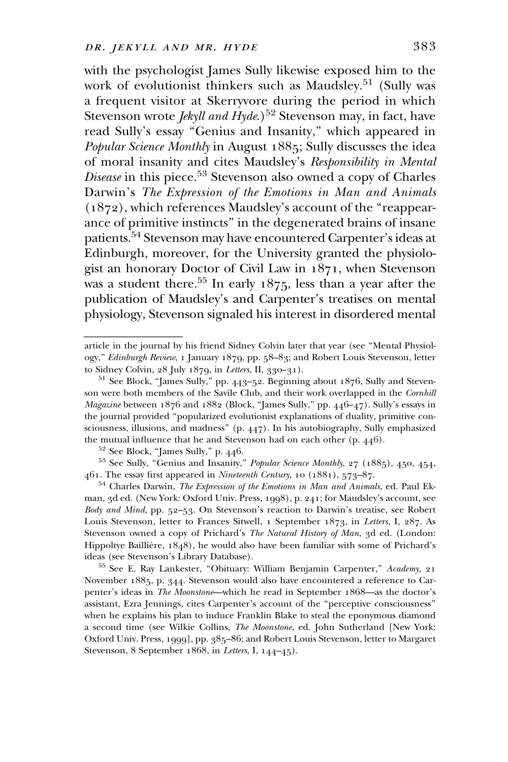with the psychologist James Sully likewise exposed him to the work of evolutionist thinkers such as Maudsley.<sup>51</sup> (Sully was a frequent visitor at Skerryvore during the period in which Stevenson wrote *Jekyll and Hyde*.)<sup>52</sup> Stevenson may, in fact, have read Sully's essay ''Genius and Insanity,'' which appeared in Popular Science Monthly in August 1885; Sully discusses the idea of moral insanity and cites Maudsley's Responsibility in Mental Disease in this piece.<sup>53</sup> Stevenson also owned a copy of Charles Darwin's The Expression of the Emotions in Man and Animals  $(1872)$ , which references Maudsley's account of the "reappearance of primitive instincts'' in the degenerated brains of insane patients.54 Stevenson may have encountered Carpenter's ideas at Edinburgh, moreover, for the University granted the physiologist an honorary Doctor of Civil Law in 1871, when Stevenson was a student there.<sup>55</sup> In early  $1875$ , less than a year after the publication of Maudsley's and Carpenter's treatises on mental DR. JEKYLL AND M<br>with the psychologist<br>work of evolutionist<br>a frequent visitor at<br>Stevenson wrote *Jekyl*<br>read Sully's essay "C<br>*Popular Science Month*<br>of moral insanity an<br>Disease in this piece.<sup>5</sup><br>Darwin's *The Expres*<br> physiology, Stevenson signaled his interest in disordered mental

article in the journal by his friend Sidney Colvin later that year (see ''Mental Physiology,'' Edinburgh Review, 1 January 1879, pp. 58–83; and Robert Louis Stevenson, letter to Sidney Colvin, 28 July 1879, in Letters, II, 330-31).

 $51$  See Block, "James Sully," pp. 443-52. Beginning about 1876, Sully and Stevenson were both members of the Savile Club, and their work overlapped in the Cornhill *Magazine* between  $1876$  and  $1882$  (Block, "James Sully," pp.  $446-47$ ). Sully's essays in the journal provided ''popularized evolutionist explanations of duality, primitive consciousness, illusions, and madness'' (p. 447). In his autobiography, Sully emphasized the mutual influence that he and Stevenson had on each other (p. 446).

 $52$  See Block, "James Sully," p. 446.

<sup>&</sup>lt;sup>53</sup> See Sully, "Genius and Insanity," Popular Science Monthly, 27 (1885), 450, 454, 461. The essay first appeared in Nineteenth Century, 10 (1881), 573-87.

<sup>&</sup>lt;sup>54</sup> Charles Darwin, *The Expression of the Emotions in Man and Animals*, ed. Paul Ekman, 3d ed. (New York: Oxford Univ. Press, 1998), p. 241; for Maudsley's account, see Body and Mind, pp. 52–53. On Stevenson's reaction to Darwin's treatise, see Robert Louis Stevenson, letter to Frances Sitwell, 1 September 1873, in Letters, I, 287. As Stevenson owned a copy of Prichard's The Natural History of Man, 3d ed. (London: Hippoltye Baillière,  $1848$ ), he would also have been familiar with some of Prichard's ideas (see Stevenson's Library Database).

<sup>&</sup>lt;sup>55</sup> See E. Ray Lankester, "Obituary: William Benjamin Carpenter," Academy, 21 November 1885, p. 344. Stevenson would also have encountered a reference to Carpenter's ideas in *The Moonstone*—which he read in September 1868—as the doctor's assistant, Ezra Jennings, cites Carpenter's account of the ''perceptive consciousness'' when he explains his plan to induce Franklin Blake to steal the eponymous diamond a second time (see Wilkie Collins, The Moonstone, ed. John Sutherland [New York: Oxford Univ. Press, 1999], pp. 385–86; and Robert Louis Stevenson, letter to Margaret Stevenson, 8 September 1868, in Letters, I, 144–45).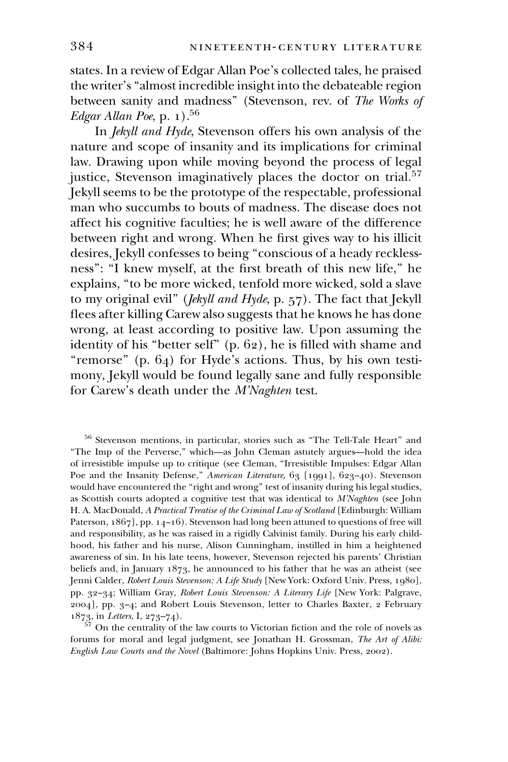states. In a review of Edgar Allan Poe's collected tales, he praised the writer's ''almost incredible insight into the debateable region between sanity and madness'' (Stevenson, rev. of The Works of Edgar Allan Poe, p.  $1$ ).<sup>56</sup>

In Jekyll and Hyde, Stevenson offers his own analysis of the nature and scope of insanity and its implications for criminal law. Drawing upon while moving beyond the process of legal justice, Stevenson imaginatively places the doctor on trial.<sup>57</sup> Jekyll seems to be the prototype of the respectable, professional man who succumbs to bouts of madness. The disease does not affect his cognitive faculties; he is well aware of the difference between right and wrong. When he first gives way to his illicit desires, Jekyll confesses to being ''conscious of a heady recklessness'': ''I knew myself, at the first breath of this new life,'' he explains, ''to be more wicked, tenfold more wicked, sold a slave to my original evil" (*Jekyll and Hyde*, p.  $57$ ). The fact that *Jekyll* flees after killing Carew also suggests that he knows he has done wrong, at least according to positive law. Upon assuming the identity of his ''better self'' (p. 62), he is filled with shame and "remorse" (p. 64) for Hyde's actions. Thus, by his own testimony, Jekyll would be found legally sane and fully responsible for Carew's death under the M'Naghten test.

<sup>56</sup> Stevenson mentions, in particular, stories such as ''The Tell-Tale Heart'' and ''The Imp of the Perverse,'' which—as John Cleman astutely argues—hold the idea of irresistible impulse up to critique (see Cleman, ''Irresistible Impulses: Edgar Allan Poe and the Insanity Defense," American Literature, 63 [1991], 623-40). Stevenson would have encountered the "right and wrong" test of insanity during his legal studies, as Scottish courts adopted a cognitive test that was identical to M'Naghten (see John H. A. MacDonald, A Practical Treatise of the Criminal Law of Scotland [Edinburgh: William Paterson, 1867], pp. 14–16). Stevenson had long been attuned to questions of free will and responsibility, as he was raised in a rigidly Calvinist family. During his early childhood, his father and his nurse, Alison Cunningham, instilled in him a heightened awareness of sin. In his late teens, however, Stevenson rejected his parents' Christian beliefs and, in January 1873, he announced to his father that he was an atheist (see Jenni Calder, Robert Louis Stevenson: A Life Study [New York: Oxford Univ. Press, 1980], pp. 32–34; William Gray, Robert Louis Stevenson: A Literary Life [New York: Palgrave, 2004], pp. 3–4; and Robert Louis Stevenson, letter to Charles Baxter, 2 February 1873, in Letters, I, 273–74).

<sup>&</sup>lt;sup>57</sup> On the centrality of the law courts to Victorian fiction and the role of novels as forums for moral and legal judgment, see Jonathan H. Grossman, The Art of Alibi: English Law Courts and the Novel (Baltimore: Johns Hopkins Univ. Press, 2002).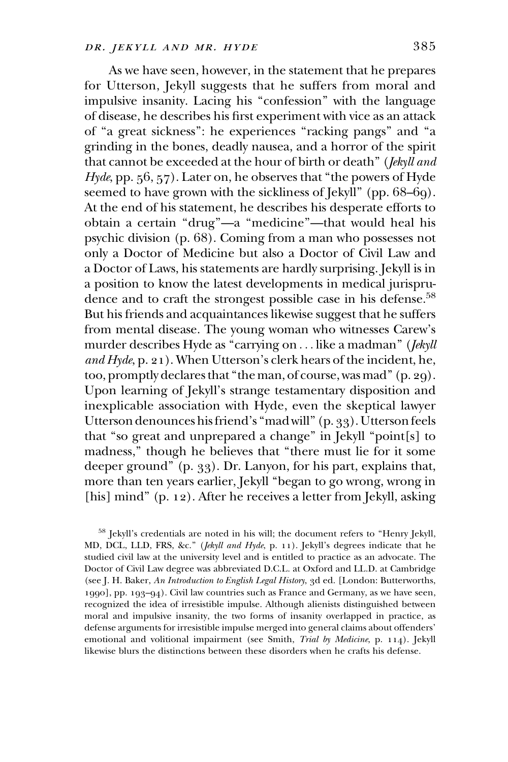As we have seen, however, in the statement that he prepares for Utterson, Jekyll suggests that he suffers from moral and impulsive insanity. Lacing his "confession" with the language of disease, he describes his first experiment with vice as an attack of ''a great sickness'': he experiences ''racking pangs'' and ''a grinding in the bones, deadly nausea, and a horror of the spirit that cannot be exceeded at the hour of birth or death" (Jekyll and  $Hyde$ , pp. 56, 57). Later on, he observes that "the powers of Hyde seemed to have grown with the sickliness of Jekyll'' (pp. 68–69). At the end of his statement, he describes his desperate efforts to obtain a certain ''drug''—a ''medicine''—that would heal his psychic division (p. 68). Coming from a man who possesses not only a Doctor of Medicine but also a Doctor of Civil Law and a Doctor of Laws, his statements are hardly surprising. Jekyll is in a position to know the latest developments in medical jurisprudence and to craft the strongest possible case in his defense.<sup>58</sup> But his friends and acquaintances likewise suggest that he suffers from mental disease. The young woman who witnesses Carew's murder describes Hyde as "carrying on ... like a madman" (*Jekyll* and  $Hyde$ , p. 21). When Utterson's clerk hears of the incident, he, too, promptly declares that ''the man, of course, was mad'' (p. 29). Upon learning of Jekyll's strange testamentary disposition and inexplicable association with Hyde, even the skeptical lawyer Utterson denounces his friend's "mad will" (p. 33). Utterson feels that ''so great and unprepared a change'' in Jekyll ''point[s] to madness,'' though he believes that ''there must lie for it some deeper ground'' (p. 33). Dr. Lanyon, for his part, explains that, more than ten years earlier, Jekyll ''began to go wrong, wrong in [his] mind" (p. 12). After he receives a letter from Jekyll, asking

<sup>58</sup> Jekyll's credentials are noted in his will; the document refers to ''Henry Jekyll, MD, DCL, LLD, FRS, &c.'' (Jekyll and Hyde, p. 11). Jekyll's degrees indicate that he studied civil law at the university level and is entitled to practice as an advocate. The Doctor of Civil Law degree was abbreviated D.C.L. at Oxford and LL.D. at Cambridge (see J. H. Baker, An Introduction to English Legal History, 3d ed. [London: Butterworths, 1990], pp. 193–94). Civil law countries such as France and Germany, as we have seen, recognized the idea of irresistible impulse. Although alienists distinguished between moral and impulsive insanity, the two forms of insanity overlapped in practice, as defense arguments for irresistible impulse merged into general claims about offenders' emotional and volitional impairment (see Smith, Trial by Medicine, p. 114). Jekyll likewise blurs the distinctions between these disorders when he crafts his defense.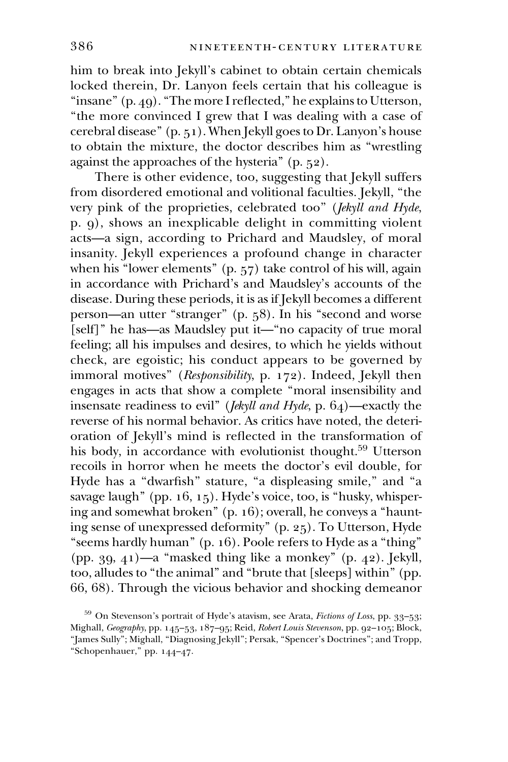him to break into Jekyll's cabinet to obtain certain chemicals locked therein, Dr. Lanyon feels certain that his colleague is "insane" (p. 49). "The more I reflected," he explains to Utterson, ''the more convinced I grew that I was dealing with a case of cerebral disease'' (p. 51). When Jekyll goes to Dr. Lanyon's house to obtain the mixture, the doctor describes him as ''wrestling against the approaches of the hysteria'' (p. 52).

There is other evidence, too, suggesting that Jekyll suffers from disordered emotional and volitional faculties. Jekyll, ''the very pink of the proprieties, celebrated too" (Jekyll and Hyde, p. 9), shows an inexplicable delight in committing violent acts—a sign, according to Prichard and Maudsley, of moral insanity. Jekyll experiences a profound change in character when his "lower elements" (p. 57) take control of his will, again in accordance with Prichard's and Maudsley's accounts of the disease. During these periods, it is as if Jekyll becomes a different person—an utter "stranger" (p. 58). In his "second and worse [self]'' he has—as Maudsley put it—''no capacity of true moral feeling; all his impulses and desires, to which he yields without check, are egoistic; his conduct appears to be governed by immoral motives" (Responsibility, p. 172). Indeed, Jekyll then engages in acts that show a complete ''moral insensibility and insensate readiness to evil" (*Jekyll and Hyde*, p.  $64$ )—exactly the reverse of his normal behavior. As critics have noted, the deterioration of Jekyll's mind is reflected in the transformation of his body, in accordance with evolutionist thought.<sup>59</sup> Utterson recoils in horror when he meets the doctor's evil double, for Hyde has a "dwarfish" stature, "a displeasing smile," and "a savage laugh" (pp. 16, 15). Hyde's voice, too, is "husky, whispering and somewhat broken'' (p. 16); overall, he conveys a ''haunting sense of unexpressed deformity'' (p. 25). To Utterson, Hyde "seems hardly human" (p. 16). Poole refers to Hyde as a "thing" (pp. 39, 41)—a "masked thing like a monkey" (p. 42). Jekyll, too, alludes to ''the animal'' and ''brute that [sleeps] within'' (pp. 66, 68). Through the vicious behavior and shocking demeanor

 $59$  On Stevenson's portrait of Hyde's atavism, see Arata, Fictions of Loss, pp. 33-53; Mighall, Geography, pp. 145–53, 187–95; Reid, Robert Louis Stevenson, pp. 92–105; Block, ''James Sully''; Mighall, ''Diagnosing Jekyll''; Persak, ''Spencer's Doctrines''; and Tropp, ''Schopenhauer,'' pp. 144–47.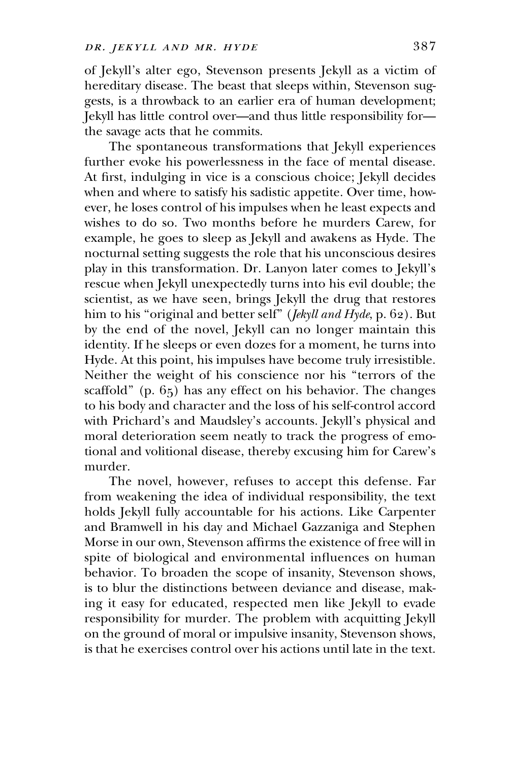of Jekyll's alter ego, Stevenson presents Jekyll as a victim of hereditary disease. The beast that sleeps within, Stevenson suggests, is a throwback to an earlier era of human development; Jekyll has little control over—and thus little responsibility for the savage acts that he commits.

The spontaneous transformations that Jekyll experiences further evoke his powerlessness in the face of mental disease. At first, indulging in vice is a conscious choice; Jekyll decides when and where to satisfy his sadistic appetite. Over time, however, he loses control of his impulses when he least expects and wishes to do so. Two months before he murders Carew, for example, he goes to sleep as Jekyll and awakens as Hyde. The nocturnal setting suggests the role that his unconscious desires play in this transformation. Dr. Lanyon later comes to Jekyll's rescue when Jekyll unexpectedly turns into his evil double; the scientist, as we have seen, brings Jekyll the drug that restores him to his "original and better self" (Jekyll and Hyde, p. 62). But by the end of the novel, Jekyll can no longer maintain this identity. If he sleeps or even dozes for a moment, he turns into Hyde. At this point, his impulses have become truly irresistible. Neither the weight of his conscience nor his ''terrors of the scaffold'' (p. 65) has any effect on his behavior. The changes to his body and character and the loss of his self-control accord with Prichard's and Maudsley's accounts. Jekyll's physical and moral deterioration seem neatly to track the progress of emotional and volitional disease, thereby excusing him for Carew's murder.

The novel, however, refuses to accept this defense. Far from weakening the idea of individual responsibility, the text holds Jekyll fully accountable for his actions. Like Carpenter and Bramwell in his day and Michael Gazzaniga and Stephen Morse in our own, Stevenson affirms the existence of free will in spite of biological and environmental influences on human behavior. To broaden the scope of insanity, Stevenson shows, is to blur the distinctions between deviance and disease, making it easy for educated, respected men like Jekyll to evade responsibility for murder. The problem with acquitting Jekyll on the ground of moral or impulsive insanity, Stevenson shows, is that he exercises control over his actions until late in the text.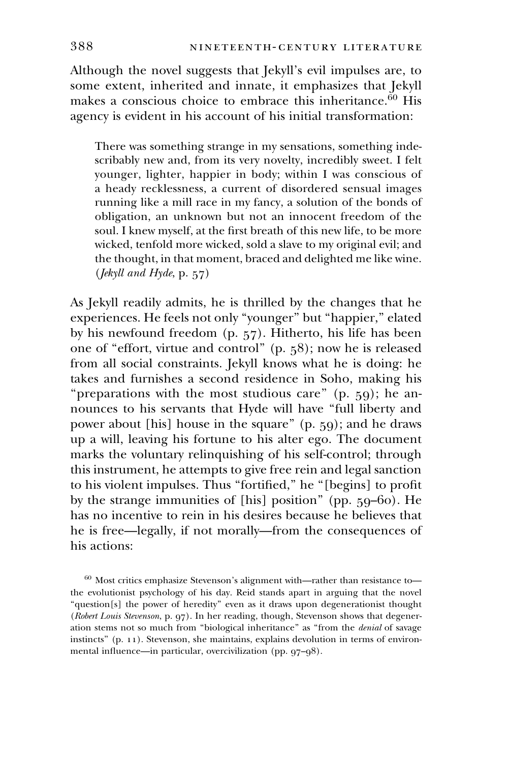Although the novel suggests that Jekyll's evil impulses are, to some extent, inherited and innate, it emphasizes that Jekyll makes a conscious choice to embrace this inheritance.<sup>60</sup> His agency is evident in his account of his initial transformation:

There was something strange in my sensations, something indescribably new and, from its very novelty, incredibly sweet. I felt younger, lighter, happier in body; within I was conscious of a heady recklessness, a current of disordered sensual images running like a mill race in my fancy, a solution of the bonds of obligation, an unknown but not an innocent freedom of the soul. I knew myself, at the first breath of this new life, to be more wicked, tenfold more wicked, sold a slave to my original evil; and the thought, in that moment, braced and delighted me like wine. (Jekyll and Hyde, p. 57)

As Jekyll readily admits, he is thrilled by the changes that he experiences. He feels not only ''younger'' but ''happier,'' elated by his newfound freedom (p. 57). Hitherto, his life has been one of ''effort, virtue and control'' (p. 58); now he is released from all social constraints. Jekyll knows what he is doing: he takes and furnishes a second residence in Soho, making his "preparations with the most studious care"  $(p. 59)$ ; he announces to his servants that Hyde will have ''full liberty and power about [his] house in the square'' (p. 59); and he draws up a will, leaving his fortune to his alter ego. The document marks the voluntary relinquishing of his self-control; through this instrument, he attempts to give free rein and legal sanction to his violent impulses. Thus "fortified," he "[begins] to profit by the strange immunities of [his] position'' (pp. 59–60). He has no incentive to rein in his desires because he believes that he is free—legally, if not morally—from the consequences of his actions:

 $60$  Most critics emphasize Stevenson's alignment with—rather than resistance to the evolutionist psychology of his day. Reid stands apart in arguing that the novel "question[s] the power of heredity" even as it draws upon degenerationist thought (Robert Louis Stevenson, p. 97). In her reading, though, Stevenson shows that degeneration stems not so much from "biological inheritance" as "from the *denial* of savage instincts'' (p. 11). Stevenson, she maintains, explains devolution in terms of environmental influence—in particular, overcivilization (pp. 97–98).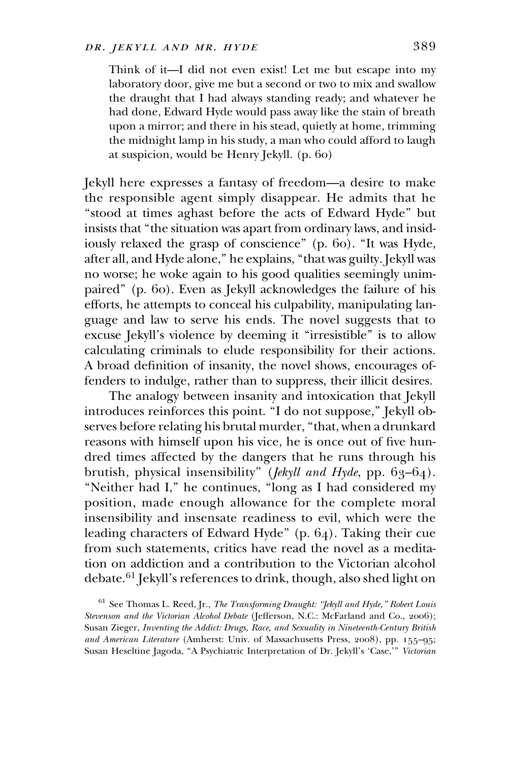Think of it—I did not even exist! Let me but escape into my laboratory door, give me but a second or two to mix and swallow the draught that I had always standing ready; and whatever he had done, Edward Hyde would pass away like the stain of breath upon a mirror; and there in his stead, quietly at home, trimming the midnight lamp in his study, a man who could afford to laugh at suspicion, would be Henry Jekyll. (p. 60)

Jekyll here expresses a fantasy of freedom—a desire to make the responsible agent simply disappear. He admits that he ''stood at times aghast before the acts of Edward Hyde'' but insists that ''the situation was apart from ordinary laws, and insidiously relaxed the grasp of conscience" (p. 60). "It was Hyde, after all, and Hyde alone,'' he explains, ''that was guilty. Jekyll was no worse; he woke again to his good qualities seemingly unimpaired'' (p. 60). Even as Jekyll acknowledges the failure of his efforts, he attempts to conceal his culpability, manipulating language and law to serve his ends. The novel suggests that to excuse Jekyll's violence by deeming it ''irresistible'' is to allow calculating criminals to elude responsibility for their actions. A broad definition of insanity, the novel shows, encourages offenders to indulge, rather than to suppress, their illicit desires.

The analogy between insanity and intoxication that Jekyll introduces reinforces this point. ''I do not suppose,'' Jekyll observes before relating his brutal murder, ''that, when a drunkard reasons with himself upon his vice, he is once out of five hundred times affected by the dangers that he runs through his brutish, physical insensibility" (*Jekyll and Hyde*, pp. 63–64). "Neither had I," he continues, "long as I had considered my position, made enough allowance for the complete moral insensibility and insensate readiness to evil, which were the leading characters of Edward Hyde'' (p. 64). Taking their cue from such statements, critics have read the novel as a meditation on addiction and a contribution to the Victorian alcohol debate.<sup>61</sup> Jekyll's references to drink, though, also shed light on

 $61$  See Thomas L. Reed, Jr., The Transforming Draught: "Jekyll and Hyde," Robert Louis Stevenson and the Victorian Alcohol Debate (Jefferson, N.C.: McFarland and Co., 2006); Susan Zieger, Inventing the Addict: Drugs, Race, and Sexuality in Nineteenth-Century British and American Literature (Amherst: Univ. of Massachusetts Press, 2008), pp. 155–95; Susan Heseltine Jagoda, ''A Psychiatric Interpretation of Dr. Jekyll's 'Case,''' Victorian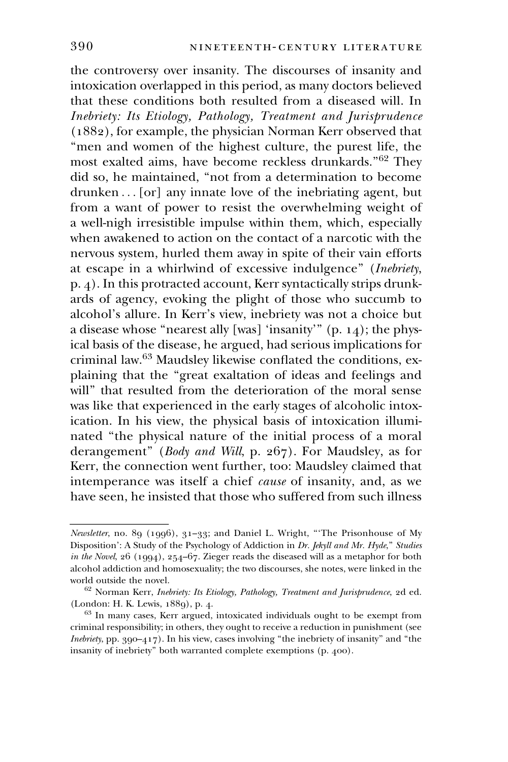the controversy over insanity. The discourses of insanity and intoxication overlapped in this period, as many doctors believed that these conditions both resulted from a diseased will. In Inebriety: Its Etiology, Pathology, Treatment and Jurisprudence (1882), for example, the physician Norman Kerr observed that ''men and women of the highest culture, the purest life, the most exalted aims, have become reckless drunkards.''62 They did so, he maintained, ''not from a determination to become drunken ... [or] any innate love of the inebriating agent, but from a want of power to resist the overwhelming weight of a well-nigh irresistible impulse within them, which, especially when awakened to action on the contact of a narcotic with the nervous system, hurled them away in spite of their vain efforts at escape in a whirlwind of excessive indulgence'' (Inebriety, p. 4). In this protracted account, Kerr syntactically strips drunkards of agency, evoking the plight of those who succumb to alcohol's allure. In Kerr's view, inebriety was not a choice but a disease whose "nearest ally [was] 'insanity'" (p. 14); the physical basis of the disease, he argued, had serious implications for criminal law.<sup>63</sup> Maudsley likewise conflated the conditions, explaining that the ''great exaltation of ideas and feelings and will'' that resulted from the deterioration of the moral sense was like that experienced in the early stages of alcoholic intoxication. In his view, the physical basis of intoxication illuminated ''the physical nature of the initial process of a moral derangement'' (Body and Will, p. 267). For Maudsley, as for Kerr, the connection went further, too: Maudsley claimed that intemperance was itself a chief cause of insanity, and, as we a well-nigh irresistibl<br>when awakened to ac<br>nervous system, hurle<br>at escape in a whirl<br>p. 4). In this protract<br>ards of agency, evok<br>alcohol's allure. In K<br>a disease whose "nea<br>ical basis of the disea:<br>criminal law.<sup>63</sup> Ma have seen, he insisted that those who suffered from such illness

Newsletter, no. 89 (1996), 31–33; and Daniel L. Wright, '''The Prisonhouse of My Disposition': A Study of the Psychology of Addiction in Dr. Jekyll and Mr. Hyde," Studies in the Novel,  $26$  (1994),  $254-67$ . Zieger reads the diseased will as a metaphor for both alcohol addiction and homosexuality; the two discourses, she notes, were linked in the world outside the novel.

<sup>62</sup> Norman Kerr, Inebriety: Its Etiology, Pathology, Treatment and Jurisprudence, 2d ed. (London: H. K. Lewis, 1889), p. 4.

<sup>63</sup> In many cases, Kerr argued, intoxicated individuals ought to be exempt from criminal responsibility; in others, they ought to receive a reduction in punishment (see Inebriety, pp. 390–417). In his view, cases involving ''the inebriety of insanity'' and ''the insanity of inebriety'' both warranted complete exemptions (p. 400).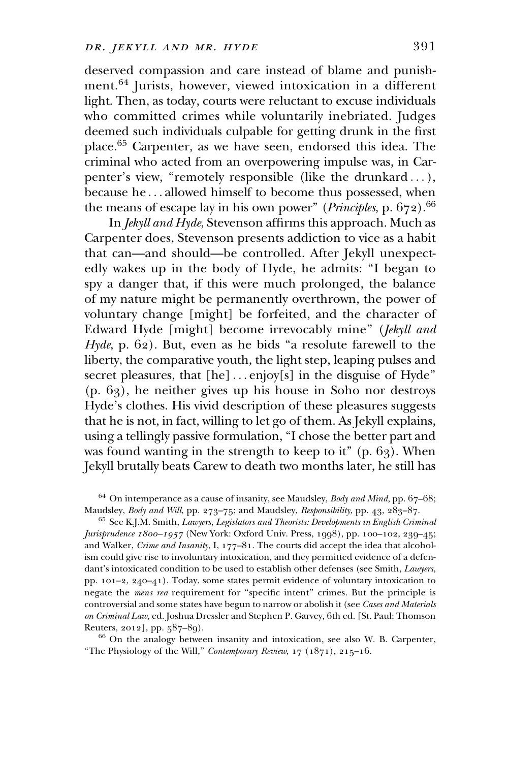deserved compassion and care instead of blame and punishment.<sup>64</sup> Jurists, however, viewed intoxication in a different light. Then, as today, courts were reluctant to excuse individuals who committed crimes while voluntarily inebriated. Judges deemed such individuals culpable for getting drunk in the first place.65 Carpenter, as we have seen, endorsed this idea. The criminal who acted from an overpowering impulse was, in Carpenter's view, "remotely responsible (like the drunkard ...), because he ... allowed himself to become thus possessed, when the means of escape lay in his own power" (*Principles*, p.  $672$ ).<sup>66</sup>

In Jekyll and Hyde, Stevenson affirms this approach. Much as Carpenter does, Stevenson presents addiction to vice as a habit that can—and should—be controlled. After Jekyll unexpectedly wakes up in the body of Hyde, he admits: ''I began to spy a danger that, if this were much prolonged, the balance of my nature might be permanently overthrown, the power of voluntary change [might] be forfeited, and the character of Edward Hyde [might] become irrevocably mine" (Jekyll and Hyde, p. 62). But, even as he bids "a resolute farewell to the liberty, the comparative youth, the light step, leaping pulses and secret pleasures, that [he]...enjoy[s] in the disguise of Hyde" (p. 63), he neither gives up his house in Soho nor destroys Hyde's clothes. His vivid description of these pleasures suggests that he is not, in fact, willing to let go of them. As Jekyll explains, using a tellingly passive formulation, ''I chose the better part and was found wanting in the strength to keep to it"  $(p. 63)$ . When Jekyll brutally beats Carew to death two months later, he still has

 $64$  On intemperance as a cause of insanity, see Maudsley, *Body and Mind*, pp.  $67-68$ ; Maudsley, Body and Will, pp. 273–75; and Maudsley, Responsibility, pp. 43, 283–87.

<sup>65</sup> See K.J.M. Smith, Lawyers, Legislators and Theorists: Developments in English Criminal Jurisprudence 1800–1957 (New York: Oxford Univ. Press, 1998), pp. 100–102, 239–45; and Walker, Crime and Insanity, I, 177-81. The courts did accept the idea that alcoholism could give rise to involuntary intoxication, and they permitted evidence of a defendant's intoxicated condition to be used to establish other defenses (see Smith, Lawyers, pp. 101–2, 240–41). Today, some states permit evidence of voluntary intoxication to negate the mens rea requirement for ''specific intent'' crimes. But the principle is controversial and some states have begun to narrow or abolish it (see Cases and Materials on Criminal Law, ed. Joshua Dressler and Stephen P. Garvey, 6th ed. [St. Paul: Thomson Reuters, 2012], pp. 587–89).

<sup>66</sup> On the analogy between insanity and intoxication, see also W. B. Carpenter, "The Physiology of the Will," Contemporary Review, 17 (1871), 215-16.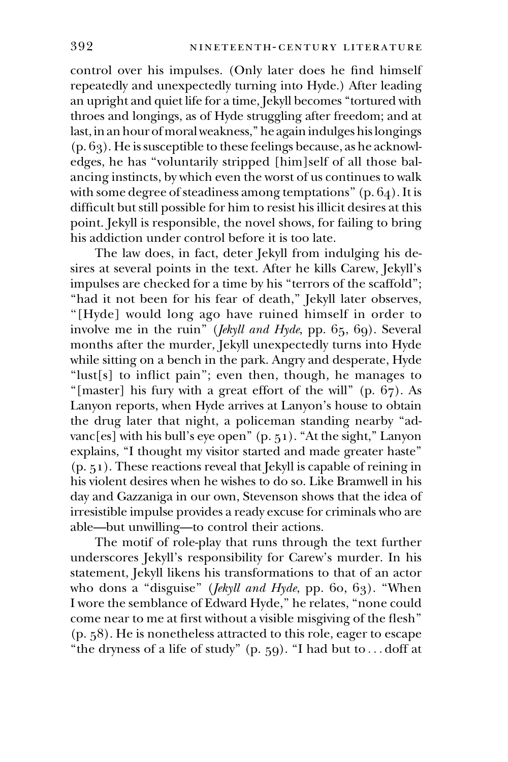control over his impulses. (Only later does he find himself repeatedly and unexpectedly turning into Hyde.) After leading an upright and quiet life for a time, Jekyll becomes ''tortured with throes and longings, as of Hyde struggling after freedom; and at last, in an hourof moralweakness,'' he again indulges his longings (p. 63). He is susceptible to these feelings because, as he acknowledges, he has ''voluntarily stripped [him]self of all those balancing instincts, by which even the worst of us continues to walk with some degree of steadiness among temptations'' (p. 64). It is difficult but still possible for him to resist his illicit desires at this point. Jekyll is responsible, the novel shows, for failing to bring his addiction under control before it is too late.

The law does, in fact, deter Jekyll from indulging his desires at several points in the text. After he kills Carew, Jekyll's impulses are checked for a time by his ''terrors of the scaffold''; "had it not been for his fear of death," Jekyll later observes, ''[Hyde] would long ago have ruined himself in order to involve me in the ruin'' (Jekyll and Hyde, pp. 65, 69). Several months after the murder, Jekyll unexpectedly turns into Hyde while sitting on a bench in the park. Angry and desperate, Hyde "lust[s] to inflict pain"; even then, though, he manages to "[master] his fury with a great effort of the will" (p.  $6\overline{7}$ ). As Lanyon reports, when Hyde arrives at Lanyon's house to obtain the drug later that night, a policeman standing nearby ''advanc[es] with his bull's eye open'' (p. 51). ''At the sight,'' Lanyon explains, "I thought my visitor started and made greater haste" (p. 51). These reactions reveal that Jekyll is capable of reining in his violent desires when he wishes to do so. Like Bramwell in his day and Gazzaniga in our own, Stevenson shows that the idea of irresistible impulse provides a ready excuse for criminals who are able—but unwilling—to control their actions.

The motif of role-play that runs through the text further underscores Jekyll's responsibility for Carew's murder. In his statement, Jekyll likens his transformations to that of an actor who dons a "disguise" (Jekyll and Hyde, pp. 60, 63). "When I wore the semblance of Edward Hyde,'' he relates, ''none could come near to me at first without a visible misgiving of the flesh'' (p. 58). He is nonetheless attracted to this role, eager to escape "the dryness of a life of study" (p. 59). "I had but to ... doff at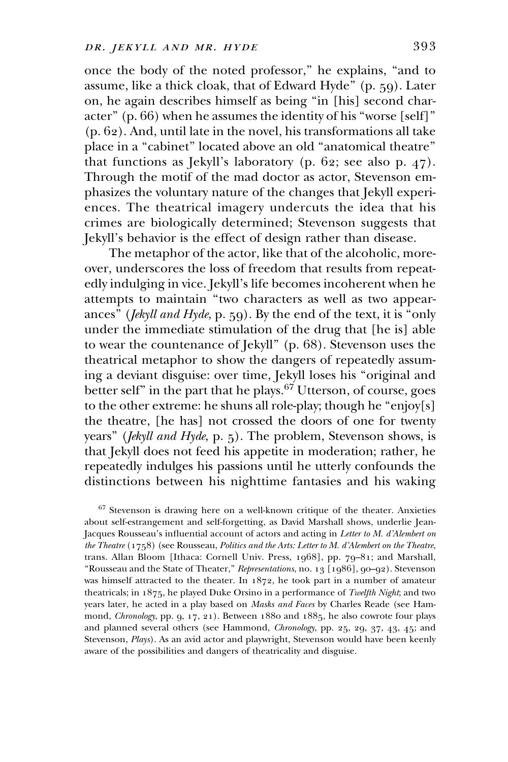once the body of the noted professor,'' he explains, ''and to assume, like a thick cloak, that of Edward Hyde'' (p. 59). Later on, he again describes himself as being ''in [his] second character'' (p. 66) when he assumes the identity of his ''worse [self]'' (p. 62). And, until late in the novel, his transformations all take place in a "cabinet" located above an old "anatomical theatre" that functions as Jekyll's laboratory (p. 62; see also p. 47). Through the motif of the mad doctor as actor, Stevenson emphasizes the voluntary nature of the changes that Jekyll experiences. The theatrical imagery undercuts the idea that his crimes are biologically determined; Stevenson suggests that Jekyll's behavior is the effect of design rather than disease.

The metaphor of the actor, like that of the alcoholic, moreover, underscores the loss of freedom that results from repeatedly indulging in vice. Jekyll's life becomes incoherent when he attempts to maintain ''two characters as well as two appearances" (Jekyll and Hyde, p. 59). By the end of the text, it is "only under the immediate stimulation of the drug that [he is] able to wear the countenance of Jekyll'' (p. 68). Stevenson uses the theatrical metaphor to show the dangers of repeatedly assuming a deviant disguise: over time, Jekyll loses his ''original and better self" in the part that he plays. $67$  Utterson, of course, goes to the other extreme: he shuns all role-play; though he "enjoy[s] the theatre, [he has] not crossed the doors of one for twenty years'' (Jekyll and Hyde, p. 5). The problem, Stevenson shows, is that Jekyll does not feed his appetite in moderation; rather, he repeatedly indulges his passions until he utterly confounds the distinctions between his nighttime fantasies and his waking

<sup>67</sup> Stevenson is drawing here on a well-known critique of the theater. Anxieties about self-estrangement and self-forgetting, as David Marshall shows, underlie Jean-Jacques Rousseau's influential account of actors and acting in Letter to M. d'Alembert on the Theatre (1758) (see Rousseau, Politics and the Arts: Letter to M. d'Alembert on the Theatre, trans. Allan Bloom [Ithaca: Cornell Univ. Press, 1968], pp. 79–81; and Marshall, "Rousseau and the State of Theater," Representations, no. 13 [1986], 90-92). Stevenson was himself attracted to the theater. In 1872, he took part in a number of amateur theatricals; in  $1875$ , he played Duke Orsino in a performance of Twelfth Night; and two years later, he acted in a play based on Masks and Faces by Charles Reade (see Hammond, Chronology, pp. 9, 17, 21). Between 1880 and 1885, he also cowrote four plays and planned several others (see Hammond, Chronology, pp. 25, 29, 37, 43, 45; and Stevenson, Plays). As an avid actor and playwright, Stevenson would have been keenly aware of the possibilities and dangers of theatricality and disguise.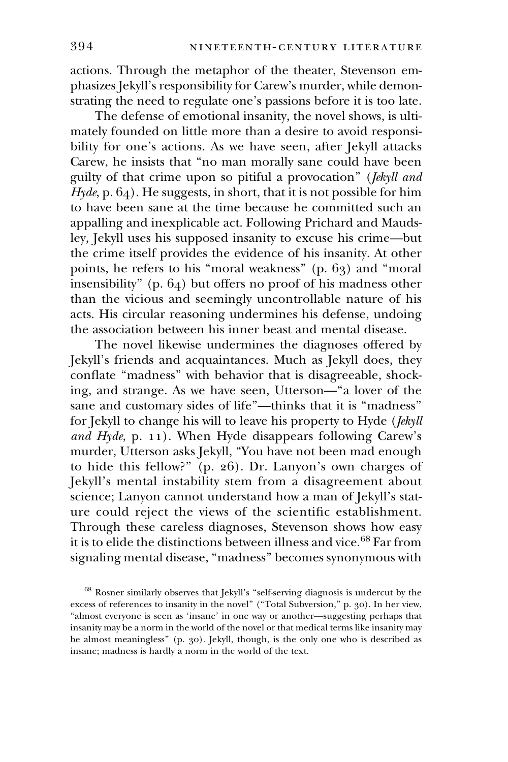actions. Through the metaphor of the theater, Stevenson emphasizes Jekyll's responsibility for Carew's murder, while demonstrating the need to regulate one's passions before it is too late.

The defense of emotional insanity, the novel shows, is ultimately founded on little more than a desire to avoid responsibility for one's actions. As we have seen, after Jekyll attacks Carew, he insists that ''no man morally sane could have been guilty of that crime upon so pitiful a provocation'' (Jekyll and  $Hyde$ , p.  $64$ ). He suggests, in short, that it is not possible for him to have been sane at the time because he committed such an appalling and inexplicable act. Following Prichard and Maudsley, Jekyll uses his supposed insanity to excuse his crime—but the crime itself provides the evidence of his insanity. At other points, he refers to his "moral weakness" (p. 63) and "moral insensibility'' (p. 64) but offers no proof of his madness other than the vicious and seemingly uncontrollable nature of his acts. His circular reasoning undermines his defense, undoing the association between his inner beast and mental disease.

The novel likewise undermines the diagnoses offered by Jekyll's friends and acquaintances. Much as Jekyll does, they conflate ''madness'' with behavior that is disagreeable, shocking, and strange. As we have seen, Utterson—''a lover of the sane and customary sides of life"—thinks that it is "madness" for Jekyll to change his will to leave his property to Hyde (Jekyll and Hyde, p. 11). When Hyde disappears following Carew's murder, Utterson asks Jekyll, ''You have not been mad enough to hide this fellow?'' (p. 26). Dr. Lanyon's own charges of Jekyll's mental instability stem from a disagreement about science; Lanyon cannot understand how a man of Jekyll's stature could reject the views of the scientific establishment. Through these careless diagnoses, Stevenson shows how easy it is to elide the distinctions between illness and vice.<sup>68</sup> Far from signaling mental disease, "madness" becomes synonymous with

<sup>68</sup> Rosner similarly observes that Jekyll's ''self-serving diagnosis is undercut by the excess of references to insanity in the novel" ("Total Subversion," p. 30). In her view, ''almost everyone is seen as 'insane' in one way or another—suggesting perhaps that insanity may be a norm in the world of the novel or that medical terms like insanity may be almost meaningless'' (p. 30). Jekyll, though, is the only one who is described as insane; madness is hardly a norm in the world of the text.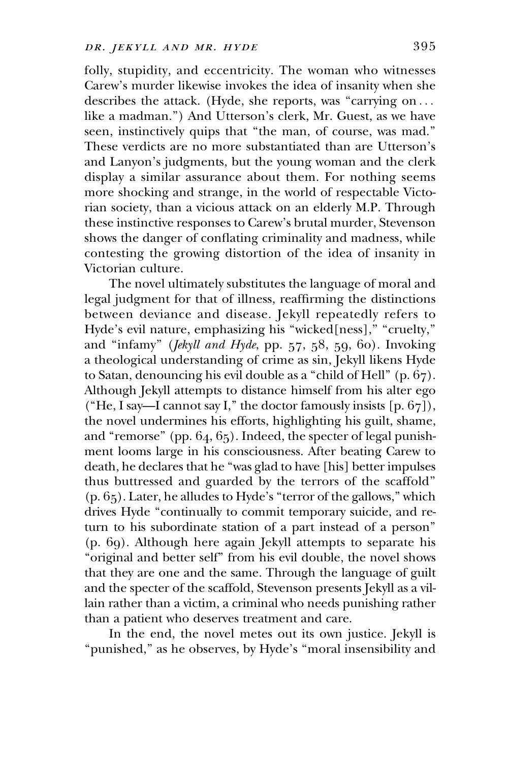folly, stupidity, and eccentricity. The woman who witnesses Carew's murder likewise invokes the idea of insanity when she describes the attack. (Hyde, she reports, was "carrying on... like a madman.'') And Utterson's clerk, Mr. Guest, as we have seen, instinctively quips that ''the man, of course, was mad.'' These verdicts are no more substantiated than are Utterson's and Lanyon's judgments, but the young woman and the clerk display a similar assurance about them. For nothing seems more shocking and strange, in the world of respectable Victorian society, than a vicious attack on an elderly M.P. Through these instinctive responses to Carew's brutal murder, Stevenson shows the danger of conflating criminality and madness, while contesting the growing distortion of the idea of insanity in Victorian culture.

The novel ultimately substitutes the language of moral and legal judgment for that of illness, reaffirming the distinctions between deviance and disease. Jekyll repeatedly refers to Hyde's evil nature, emphasizing his "wicked[ness]," "cruelty," and ''infamy'' (Jekyll and Hyde, pp. 57, 58, 59, 60). Invoking a theological understanding of crime as sin, Jekyll likens Hyde to Satan, denouncing his evil double as a "child of Hell" (p. 67). Although Jekyll attempts to distance himself from his alter ego ("He, I say—I cannot say I," the doctor famously insists  $[p. 67]$ ), the novel undermines his efforts, highlighting his guilt, shame, and ''remorse'' (pp. 64, 65). Indeed, the specter of legal punishment looms large in his consciousness. After beating Carew to death, he declares that he ''was glad to have [his] better impulses thus buttressed and guarded by the terrors of the scaffold'' (p. 65). Later, he alludes to Hyde's ''terror of the gallows,'' which drives Hyde ''continually to commit temporary suicide, and return to his subordinate station of a part instead of a person'' (p. 69). Although here again Jekyll attempts to separate his "original and better self" from his evil double, the novel shows that they are one and the same. Through the language of guilt and the specter of the scaffold, Stevenson presents Jekyll as a villain rather than a victim, a criminal who needs punishing rather than a patient who deserves treatment and care.

In the end, the novel metes out its own justice. Jekyll is "punished," as he observes, by Hyde's "moral insensibility and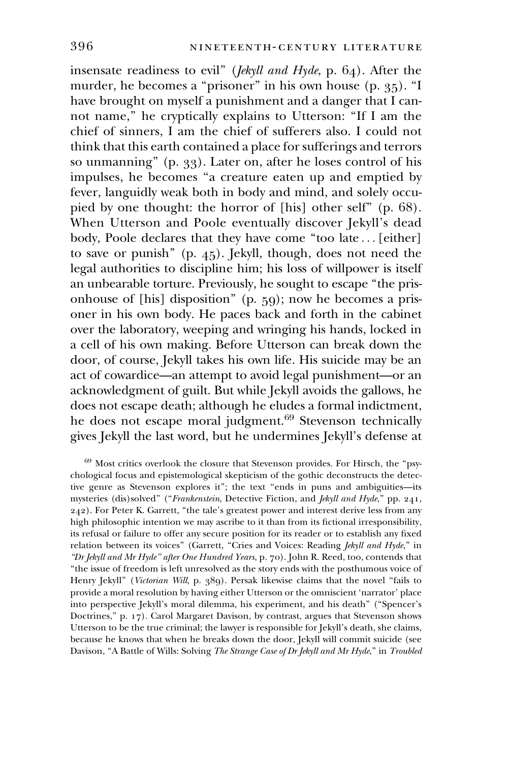insensate readiness to evil'' (Jekyll and Hyde, p. 64). After the murder, he becomes a "prisoner" in his own house (p. 35). "I have brought on myself a punishment and a danger that I cannot name,'' he cryptically explains to Utterson: ''If I am the chief of sinners, I am the chief of sufferers also. I could not think that this earth contained a place for sufferings and terrors so unmanning'' (p. 33). Later on, after he loses control of his impulses, he becomes ''a creature eaten up and emptied by fever, languidly weak both in body and mind, and solely occupied by one thought: the horror of [his] other self'' (p. 68). When Utterson and Poole eventually discover Jekyll's dead body, Poole declares that they have come ''too late ... [either] to save or punish'' (p. 45). Jekyll, though, does not need the legal authorities to discipline him; his loss of willpower is itself an unbearable torture. Previously, he sought to escape ''the prisonhouse of [his] disposition'' (p. 59); now he becomes a prisoner in his own body. He paces back and forth in the cabinet over the laboratory, weeping and wringing his hands, locked in a cell of his own making. Before Utterson can break down the door, of course, Jekyll takes his own life. His suicide may be an act of cowardice—an attempt to avoid legal punishment—or an acknowledgment of guilt. But while Jekyll avoids the gallows, he does not escape death; although he eludes a formal indictment, he does not escape moral judgment.<sup>69</sup> Stevenson technically gives Jekyll the last word, but he undermines Jekyll's defense at

<sup>69</sup> Most critics overlook the closure that Stevenson provides. For Hirsch, the ''psychological focus and epistemological skepticism of the gothic deconstructs the detective genre as Stevenson explores it''; the text ''ends in puns and ambiguities—its mysteries (dis)solved" ("Frankenstein, Detective Fiction, and Jekyll and Hyde," pp. 241, 242). For Peter K. Garrett, ''the tale's greatest power and interest derive less from any high philosophic intention we may ascribe to it than from its fictional irresponsibility, its refusal or failure to offer any secure position for its reader or to establish any fixed relation between its voices" (Garrett, "Cries and Voices: Reading Jekyll and Hyde," in ''Dr Jekyll and Mr Hyde'' after One Hundred Years, p. 70). John R. Reed, too, contends that ''the issue of freedom is left unresolved as the story ends with the posthumous voice of Henry Jekyll" (*Victorian Will*, p. 389). Persak likewise claims that the novel "fails to provide a moral resolution by having either Utterson or the omniscient 'narrator' place into perspective Jekyll's moral dilemma, his experiment, and his death'' (''Spencer's Doctrines,'' p. 17). Carol Margaret Davison, by contrast, argues that Stevenson shows Utterson to be the true criminal; the lawyer is responsible for Jekyll's death, she claims, because he knows that when he breaks down the door, Jekyll will commit suicide (see Davison, "A Battle of Wills: Solving The Strange Case of Dr Jekyll and Mr Hyde," in Troubled